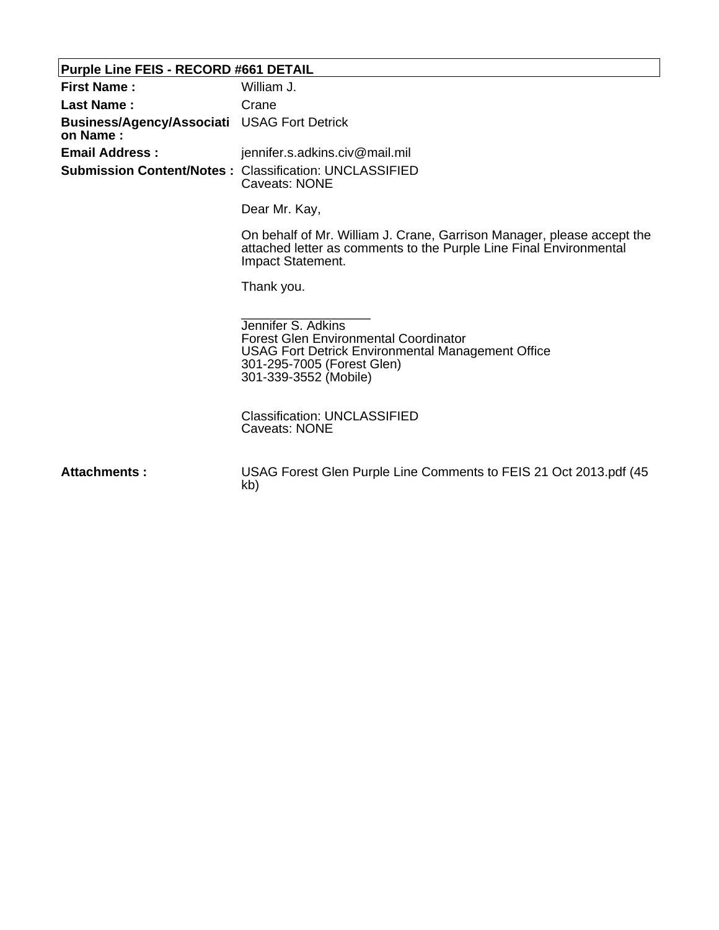## **Purple Line FEIS - RECORD #661 DETAIL**

| $\frac{1}{2}$ where $\frac{1}{2}$ and $\frac{1}{2}$ and $\frac{1}{2}$ are $\frac{1}{2}$ and $\frac{1}{2}$ are $\frac{1}{2}$ and $\frac{1}{2}$ are $\frac{1}{2}$ and $\frac{1}{2}$ are $\frac{1}{2}$ and $\frac{1}{2}$ are $\frac{1}{2}$ and $\frac{1}{2}$ are $\frac{1}{2}$ and $\frac{1}{2}$ |                                                                                                                                                                                       |
|-----------------------------------------------------------------------------------------------------------------------------------------------------------------------------------------------------------------------------------------------------------------------------------------------|---------------------------------------------------------------------------------------------------------------------------------------------------------------------------------------|
| <b>First Name:</b>                                                                                                                                                                                                                                                                            | William J.                                                                                                                                                                            |
| <b>Last Name:</b>                                                                                                                                                                                                                                                                             | Crane                                                                                                                                                                                 |
| Business/Agency/Associati USAG Fort Detrick<br>on Name:                                                                                                                                                                                                                                       |                                                                                                                                                                                       |
| <b>Email Address:</b>                                                                                                                                                                                                                                                                         | jennifer.s.adkins.civ@mail.mil                                                                                                                                                        |
|                                                                                                                                                                                                                                                                                               | <b>Submission Content/Notes: Classification: UNCLASSIFIED</b><br>Caveats: NONE                                                                                                        |
|                                                                                                                                                                                                                                                                                               | Dear Mr. Kay,                                                                                                                                                                         |
|                                                                                                                                                                                                                                                                                               | On behalf of Mr. William J. Crane, Garrison Manager, please accept the<br>attached letter as comments to the Purple Line Final Environmental<br>Impact Statement.                     |
|                                                                                                                                                                                                                                                                                               | Thank you.                                                                                                                                                                            |
|                                                                                                                                                                                                                                                                                               | Jennifer S. Adkins<br><b>Forest Glen Environmental Coordinator</b><br><b>USAG Fort Detrick Environmental Management Office</b><br>301-295-7005 (Forest Glen)<br>301-339-3552 (Mobile) |
|                                                                                                                                                                                                                                                                                               | <b>Classification: UNCLASSIFIED</b><br><b>Caveats: NONE</b>                                                                                                                           |
| Attachments:                                                                                                                                                                                                                                                                                  | USAG Forest Glen Purple Line Comments to FEIS 21 Oct 2013.pdf (45<br>kb)                                                                                                              |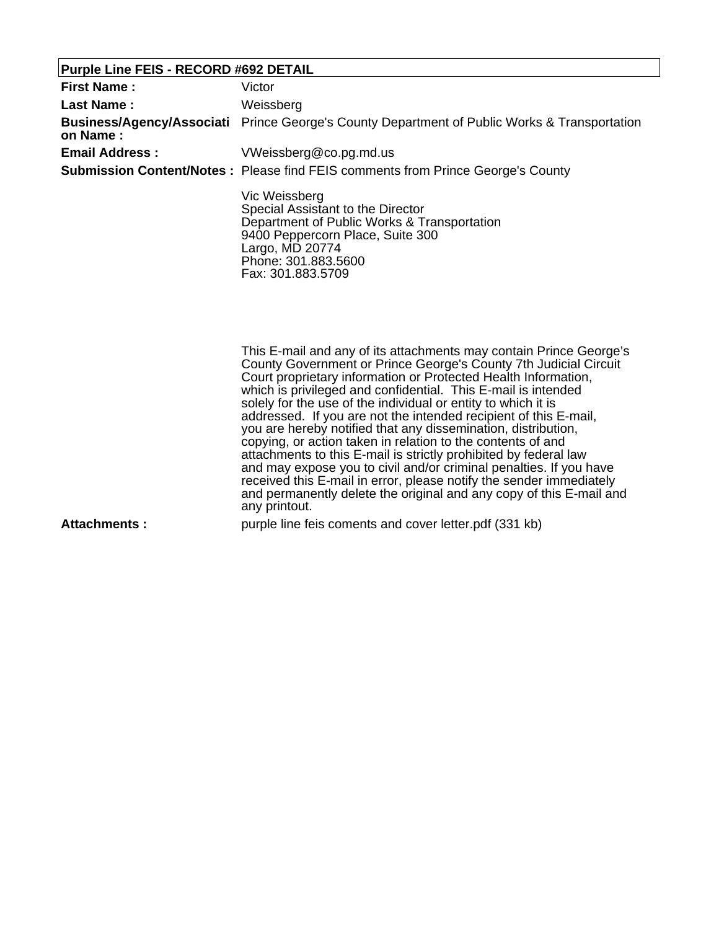## **Purple Line FEIS - RECORD #692 DETAIL**

| <b>First Name:</b>    | Victor                                                                                                                                                                                               |
|-----------------------|------------------------------------------------------------------------------------------------------------------------------------------------------------------------------------------------------|
| Last Name:            | Weissberg                                                                                                                                                                                            |
| on Name:              | <b>Business/Agency/Associati</b> Prince George's County Department of Public Works & Transportation                                                                                                  |
| <b>Email Address:</b> | VWeissberg@co.pg.md.us                                                                                                                                                                               |
|                       | <b>Submission Content/Notes:</b> Please find FEIS comments from Prince George's County                                                                                                               |
|                       | Vic Weissberg<br>Special Assistant to the Director<br>Department of Public Works & Transportation<br>9400 Peppercorn Place, Suite 300<br>Largo, MD 20774<br>Phone: 301.883.5600<br>Fax: 301.883.5709 |
|                       | This E-mail and any of its attachments may contain Prince George's<br>County Government or Prince George's County 7th Judicial Circuit                                                               |

County Government or Prince George's County 7th Judicial Circuit Court proprietary information or Protected Health Information, which is privileged and confidential. This E-mail is intended solely for the use of the individual or entity to which it is addressed. If you are not the intended recipient of this E-mail, you are hereby notified that any dissemination, distribution, copying, or action taken in relation to the contents of and attachments to this E-mail is strictly prohibited by federal law and may expose you to civil and/or criminal penalties. If you have received this E-mail in error, please notify the sender immediately and permanently delete the original and any copy of this E-mail and any printout.

**Attachments :** purple line feis coments and cover letter.pdf (331 kb)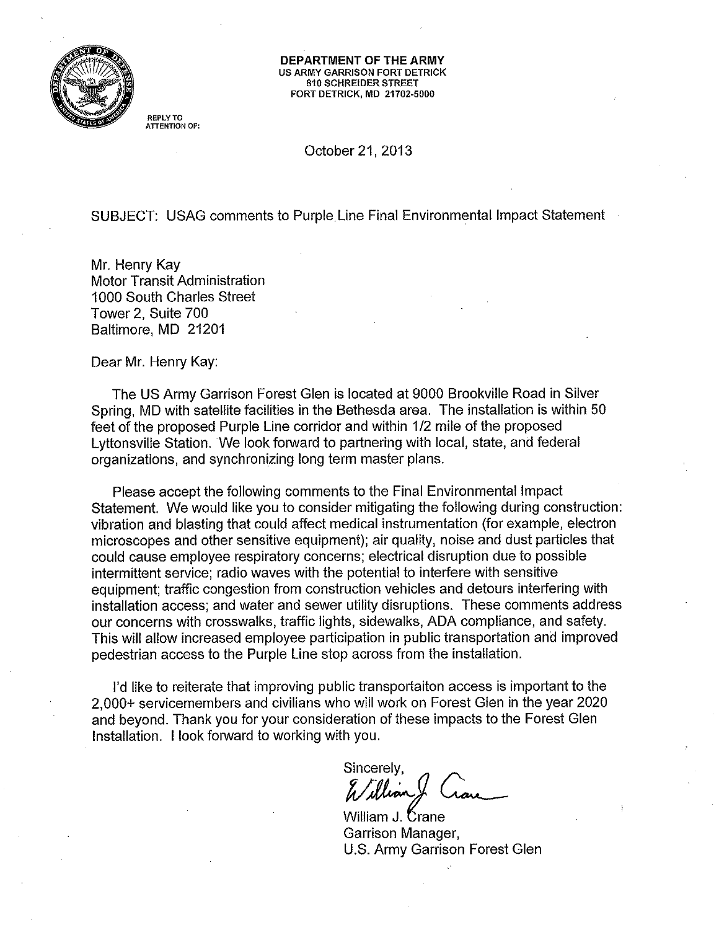

DEPARTMENT OF THE ARMY **US ARMY GARRISON FORT DETRICK** 810 SCHREIDER STREET FORT DETRICK, MD 21702-5000

**REPLY TO** ATTENTION OF:

October 21, 2013

SUBJECT: USAG comments to Purple Line Final Environmental Impact Statement

Mr. Henry Kay **Motor Transit Administration** 1000 South Charles Street Tower 2, Suite 700 Baltimore, MD 21201

Dear Mr. Henry Kay:

The US Army Garrison Forest Glen is located at 9000 Brookville Road in Silver Spring, MD with satellite facilities in the Bethesda area. The installation is within 50 feet of the proposed Purple Line corridor and within 1/2 mile of the proposed Lyttonsville Station. We look forward to partnering with local, state, and federal organizations, and synchronizing long term master plans.

Please accept the following comments to the Final Environmental Impact Statement. We would like you to consider mitigating the following during construction: vibration and blasting that could affect medical instrumentation (for example, electron microscopes and other sensitive equipment); air quality, noise and dust particles that could cause employee respiratory concerns; electrical disruption due to possible intermittent service; radio waves with the potential to interfere with sensitive equipment; traffic congestion from construction vehicles and detours interfering with installation access; and water and sewer utility disruptions. These comments address our concerns with crosswalks, traffic lights, sidewalks, ADA compliance, and safety. This will allow increased employee participation in public transportation and improved pedestrian access to the Purple Line stop across from the installation.

I'd like to reiterate that improving public transportaiton access is important to the 2.000+ servicemembers and civilians who will work on Forest Glen in the year 2020 and beyond. Thank you for your consideration of these impacts to the Forest Glen Installation. I look forward to working with you.

Sincerely, William

William J. Crane Garrison Manager, U.S. Army Garrison Forest Glen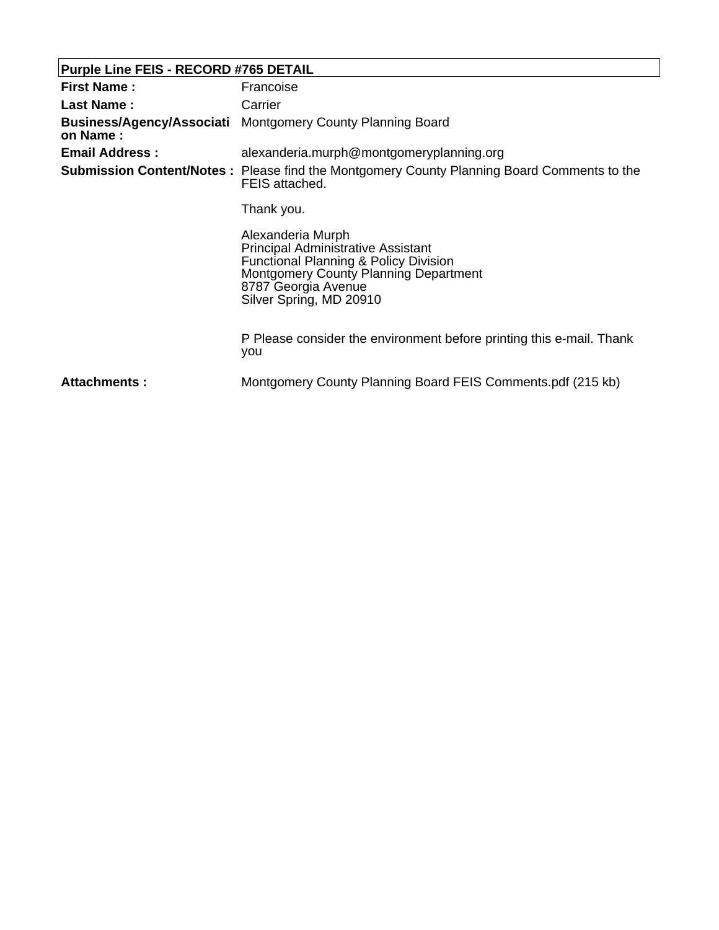# **Purple Line FEIS - RECORD #765 DETAIL**

| <b>First Name:</b>    | Francoise                                                                                                                                                                                                            |  |
|-----------------------|----------------------------------------------------------------------------------------------------------------------------------------------------------------------------------------------------------------------|--|
| Last Name:            | Carrier                                                                                                                                                                                                              |  |
| on Name:              | <b>Business/Agency/Associati</b> Montgomery County Planning Board                                                                                                                                                    |  |
| <b>Email Address:</b> | alexanderia.murph@montgomeryplanning.org                                                                                                                                                                             |  |
|                       | <b>Submission Content/Notes:</b> Please find the Montgomery County Planning Board Comments to the<br>FEIS attached.                                                                                                  |  |
|                       | Thank you.                                                                                                                                                                                                           |  |
|                       | Alexanderia Murph<br><b>Principal Administrative Assistant</b><br><b>Functional Planning &amp; Policy Division</b><br><b>Montgomery County Planning Department</b><br>8787 Georgia Avenue<br>Silver Spring, MD 20910 |  |
|                       | P Please consider the environment before printing this e-mail. Thank<br>you                                                                                                                                          |  |
| Attachments:          | Montgomery County Planning Board FEIS Comments.pdf (215 kb)                                                                                                                                                          |  |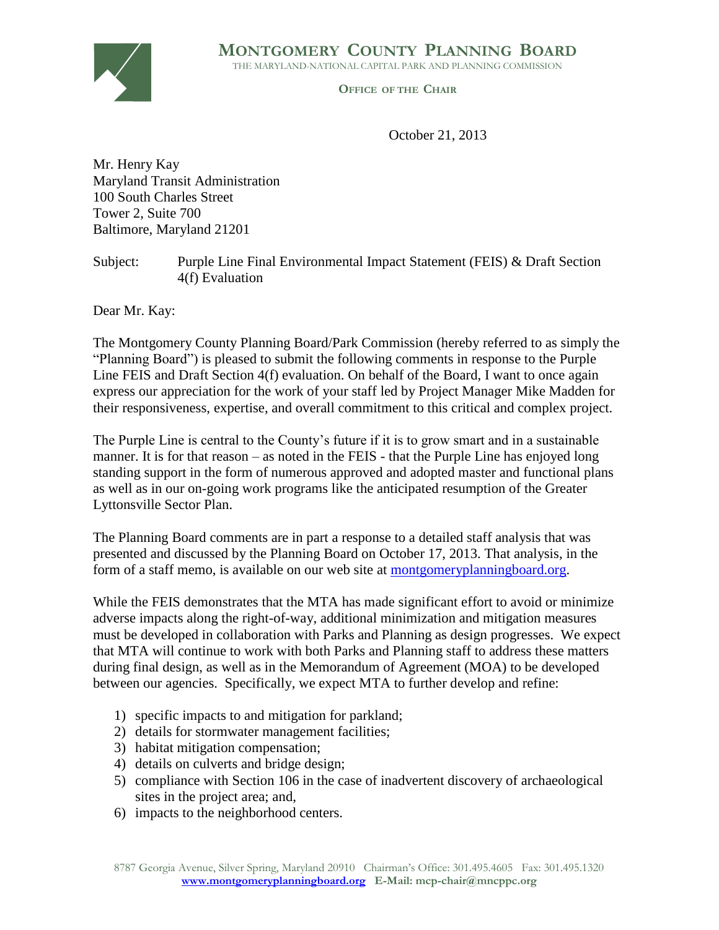**MONTGOMERY COUNTY PLANNING BOARD**

THE MARYLAND-NATIONAL CAPITAL PARK AND PLANNING COMMISSION



**OFFICE OF THE CHAIR**

October 21, 2013

Mr. Henry Kay Maryland Transit Administration 100 South Charles Street Tower 2, Suite 700 Baltimore, Maryland 21201

Subject: Purple Line Final Environmental Impact Statement (FEIS) & Draft Section 4(f) Evaluation

Dear Mr. Kay:

The Montgomery County Planning Board/Park Commission (hereby referred to as simply the "Planning Board") is pleased to submit the following comments in response to the Purple Line FEIS and Draft Section 4(f) evaluation. On behalf of the Board, I want to once again express our appreciation for the work of your staff led by Project Manager Mike Madden for their responsiveness, expertise, and overall commitment to this critical and complex project.

The Purple Line is central to the County's future if it is to grow smart and in a sustainable manner. It is for that reason – as noted in the FEIS - that the Purple Line has enjoyed long standing support in the form of numerous approved and adopted master and functional plans as well as in our on-going work programs like the anticipated resumption of the Greater Lyttonsville Sector Plan.

The Planning Board comments are in part a response to a detailed staff analysis that was presented and discussed by the Planning Board on October 17, 2013. That analysis, in the form of a staff memo, is available on our web site at montgomeryplanningboard.org.

While the FEIS demonstrates that the MTA has made significant effort to avoid or minimize adverse impacts along the right-of-way, additional minimization and mitigation measures must be developed in collaboration with Parks and Planning as design progresses. We expect that MTA will continue to work with both Parks and Planning staff to address these matters during final design, as well as in the Memorandum of Agreement (MOA) to be developed between our agencies. Specifically, we expect MTA to further develop and refine:

- 1) specific impacts to and mitigation for parkland;
- 2) details for stormwater management facilities;
- 3) habitat mitigation compensation;
- 4) details on culverts and bridge design;
- 5) compliance with Section 106 in the case of inadvertent discovery of archaeological sites in the project area; and,
- 6) impacts to the neighborhood centers.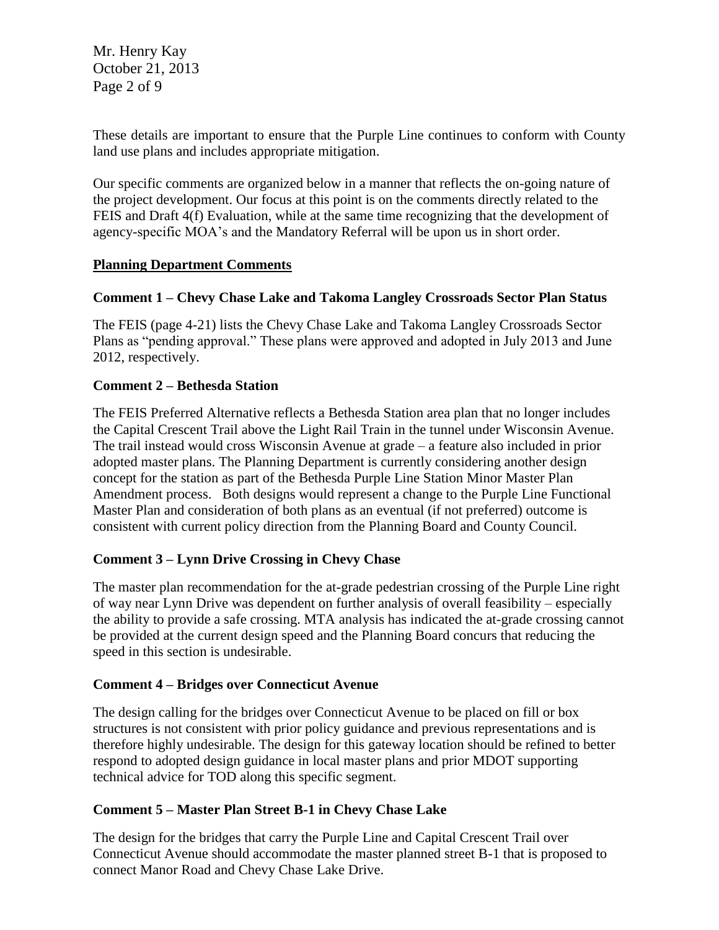Mr. Henry Kay October 21, 2013 Page 2 of 9

These details are important to ensure that the Purple Line continues to conform with County land use plans and includes appropriate mitigation.

Our specific comments are organized below in a manner that reflects the on-going nature of the project development. Our focus at this point is on the comments directly related to the FEIS and Draft 4(f) Evaluation, while at the same time recognizing that the development of agency-specific MOA's and the Mandatory Referral will be upon us in short order.

#### **Planning Department Comments**

#### **Comment 1 – Chevy Chase Lake and Takoma Langley Crossroads Sector Plan Status**

The FEIS (page 4-21) lists the Chevy Chase Lake and Takoma Langley Crossroads Sector Plans as "pending approval." These plans were approved and adopted in July 2013 and June 2012, respectively.

#### **Comment 2 – Bethesda Station**

The FEIS Preferred Alternative reflects a Bethesda Station area plan that no longer includes the Capital Crescent Trail above the Light Rail Train in the tunnel under Wisconsin Avenue. The trail instead would cross Wisconsin Avenue at grade – a feature also included in prior adopted master plans. The Planning Department is currently considering another design concept for the station as part of the Bethesda Purple Line Station Minor Master Plan Amendment process. Both designs would represent a change to the Purple Line Functional Master Plan and consideration of both plans as an eventual (if not preferred) outcome is consistent with current policy direction from the Planning Board and County Council.

#### **Comment 3 – Lynn Drive Crossing in Chevy Chase**

The master plan recommendation for the at-grade pedestrian crossing of the Purple Line right of way near Lynn Drive was dependent on further analysis of overall feasibility – especially the ability to provide a safe crossing. MTA analysis has indicated the at-grade crossing cannot be provided at the current design speed and the Planning Board concurs that reducing the speed in this section is undesirable.

#### **Comment 4 – Bridges over Connecticut Avenue**

The design calling for the bridges over Connecticut Avenue to be placed on fill or box structures is not consistent with prior policy guidance and previous representations and is therefore highly undesirable. The design for this gateway location should be refined to better respond to adopted design guidance in local master plans and prior MDOT supporting technical advice for TOD along this specific segment.

#### **Comment 5 – Master Plan Street B-1 in Chevy Chase Lake**

The design for the bridges that carry the Purple Line and Capital Crescent Trail over Connecticut Avenue should accommodate the master planned street B-1 that is proposed to connect Manor Road and Chevy Chase Lake Drive.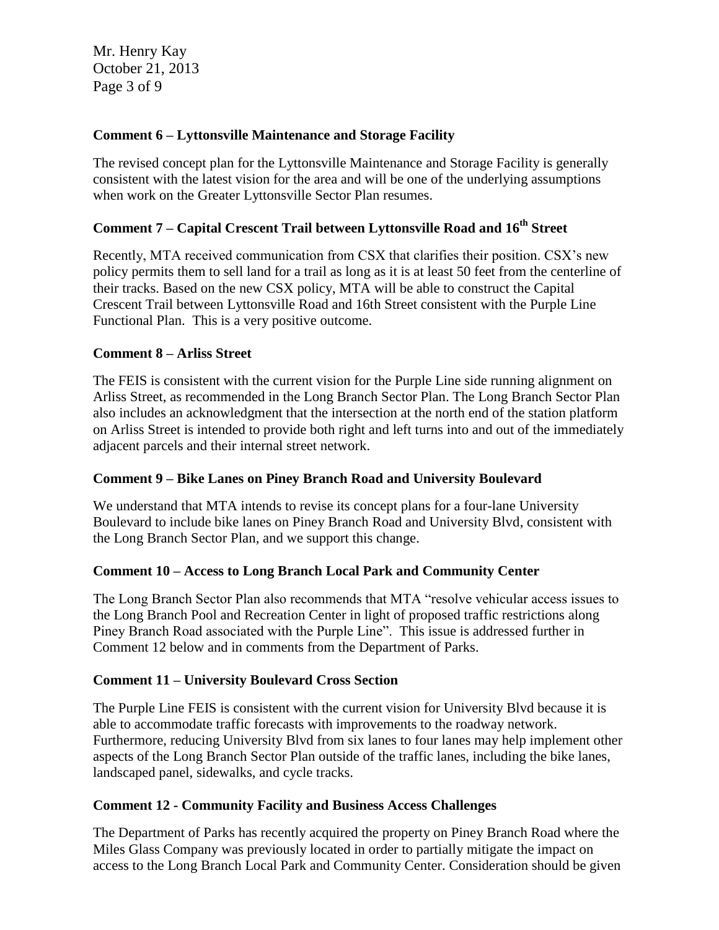Mr. Henry Kay October 21, 2013 Page 3 of 9

#### **Comment 6 – Lyttonsville Maintenance and Storage Facility**

The revised concept plan for the Lyttonsville Maintenance and Storage Facility is generally consistent with the latest vision for the area and will be one of the underlying assumptions when work on the Greater Lyttonsville Sector Plan resumes.

### **Comment 7 – Capital Crescent Trail between Lyttonsville Road and 16th Street**

Recently, MTA received communication from CSX that clarifies their position. CSX's new policy permits them to sell land for a trail as long as it is at least 50 feet from the centerline of their tracks. Based on the new CSX policy, MTA will be able to construct the Capital Crescent Trail between Lyttonsville Road and 16th Street consistent with the Purple Line Functional Plan. This is a very positive outcome.

#### **Comment 8 – Arliss Street**

The FEIS is consistent with the current vision for the Purple Line side running alignment on Arliss Street, as recommended in the Long Branch Sector Plan. The Long Branch Sector Plan also includes an acknowledgment that the intersection at the north end of the station platform on Arliss Street is intended to provide both right and left turns into and out of the immediately adjacent parcels and their internal street network.

#### **Comment 9 – Bike Lanes on Piney Branch Road and University Boulevard**

We understand that MTA intends to revise its concept plans for a four-lane University Boulevard to include bike lanes on Piney Branch Road and University Blvd, consistent with the Long Branch Sector Plan, and we support this change.

#### **Comment 10 – Access to Long Branch Local Park and Community Center**

The Long Branch Sector Plan also recommends that MTA "resolve vehicular access issues to the Long Branch Pool and Recreation Center in light of proposed traffic restrictions along Piney Branch Road associated with the Purple Line". This issue is addressed further in Comment 12 below and in comments from the Department of Parks.

#### **Comment 11 – University Boulevard Cross Section**

The Purple Line FEIS is consistent with the current vision for University Blvd because it is able to accommodate traffic forecasts with improvements to the roadway network. Furthermore, reducing University Blvd from six lanes to four lanes may help implement other aspects of the Long Branch Sector Plan outside of the traffic lanes, including the bike lanes, landscaped panel, sidewalks, and cycle tracks.

#### **Comment 12 - Community Facility and Business Access Challenges**

The Department of Parks has recently acquired the property on Piney Branch Road where the Miles Glass Company was previously located in order to partially mitigate the impact on access to the Long Branch Local Park and Community Center. Consideration should be given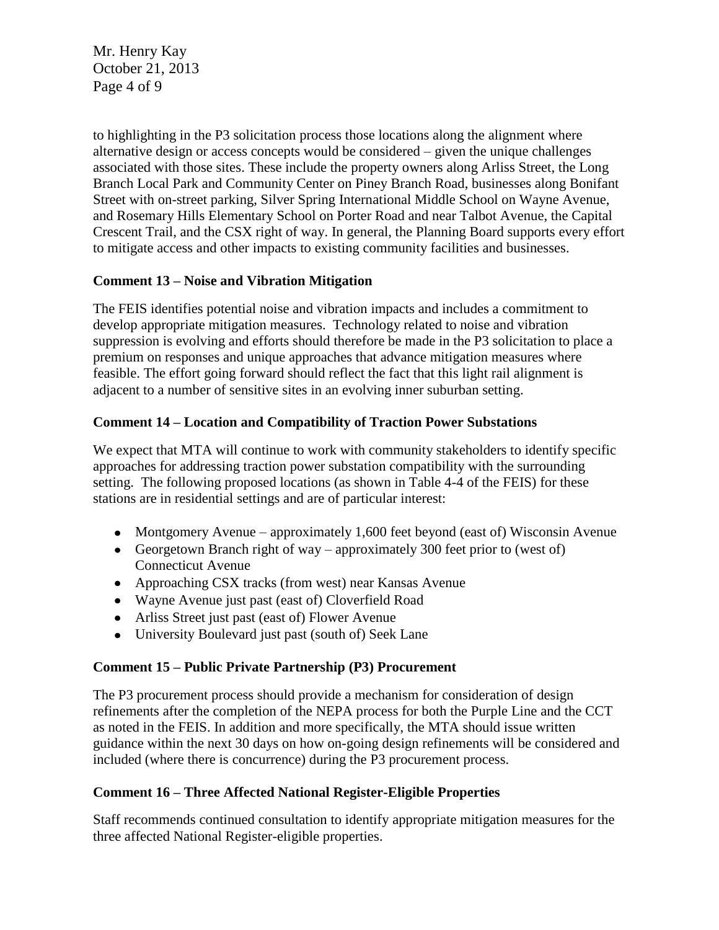Mr. Henry Kay October 21, 2013 Page 4 of 9

to highlighting in the P3 solicitation process those locations along the alignment where alternative design or access concepts would be considered – given the unique challenges associated with those sites. These include the property owners along Arliss Street, the Long Branch Local Park and Community Center on Piney Branch Road, businesses along Bonifant Street with on-street parking, Silver Spring International Middle School on Wayne Avenue, and Rosemary Hills Elementary School on Porter Road and near Talbot Avenue, the Capital Crescent Trail, and the CSX right of way. In general, the Planning Board supports every effort to mitigate access and other impacts to existing community facilities and businesses.

#### **Comment 13 – Noise and Vibration Mitigation**

The FEIS identifies potential noise and vibration impacts and includes a commitment to develop appropriate mitigation measures. Technology related to noise and vibration suppression is evolving and efforts should therefore be made in the P3 solicitation to place a premium on responses and unique approaches that advance mitigation measures where feasible. The effort going forward should reflect the fact that this light rail alignment is adjacent to a number of sensitive sites in an evolving inner suburban setting.

### **Comment 14 – Location and Compatibility of Traction Power Substations**

We expect that MTA will continue to work with community stakeholders to identify specific approaches for addressing traction power substation compatibility with the surrounding setting. The following proposed locations (as shown in Table 4-4 of the FEIS) for these stations are in residential settings and are of particular interest:

- Montgomery Avenue approximately 1,600 feet beyond (east of) Wisconsin Avenue
- Georgetown Branch right of way approximately 300 feet prior to (west of) Connecticut Avenue
- Approaching CSX tracks (from west) near Kansas Avenue
- Wayne Avenue just past (east of) Cloverfield Road
- Arliss Street just past (east of) Flower Avenue
- $\bullet$ University Boulevard just past (south of) Seek Lane

#### **Comment 15 – Public Private Partnership (P3) Procurement**

The P3 procurement process should provide a mechanism for consideration of design refinements after the completion of the NEPA process for both the Purple Line and the CCT as noted in the FEIS. In addition and more specifically, the MTA should issue written guidance within the next 30 days on how on-going design refinements will be considered and included (where there is concurrence) during the P3 procurement process.

## **Comment 16 – Three Affected National Register-Eligible Properties**

Staff recommends continued consultation to identify appropriate mitigation measures for the three affected National Register-eligible properties.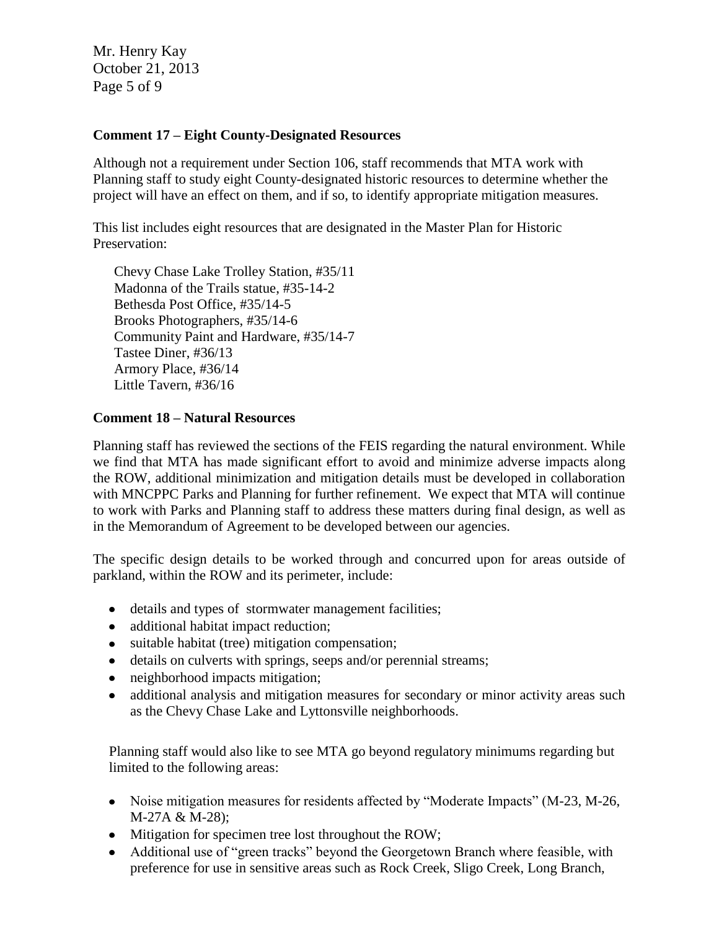Mr. Henry Kay October 21, 2013 Page 5 of 9

#### **Comment 17 – Eight County-Designated Resources**

Although not a requirement under Section 106, staff recommends that MTA work with Planning staff to study eight County-designated historic resources to determine whether the project will have an effect on them, and if so, to identify appropriate mitigation measures.

This list includes eight resources that are designated in the Master Plan for Historic Preservation:

Chevy Chase Lake Trolley Station, #35/11 Madonna of the Trails statue, #35-14-2 Bethesda Post Office, #35/14-5 Brooks Photographers, #35/14-6 Community Paint and Hardware, #35/14-7 Tastee Diner, #36/13 Armory Place, #36/14 Little Tavern, #36/16

#### **Comment 18 – Natural Resources**

Planning staff has reviewed the sections of the FEIS regarding the natural environment. While we find that MTA has made significant effort to avoid and minimize adverse impacts along the ROW, additional minimization and mitigation details must be developed in collaboration with MNCPPC Parks and Planning for further refinement. We expect that MTA will continue to work with Parks and Planning staff to address these matters during final design, as well as in the Memorandum of Agreement to be developed between our agencies.

The specific design details to be worked through and concurred upon for areas outside of parkland, within the ROW and its perimeter, include:

- details and types of stormwater management facilities;
- additional habitat impact reduction;
- suitable habitat (tree) mitigation compensation;
- details on culverts with springs, seeps and/or perennial streams;
- neighborhood impacts mitigation;
- additional analysis and mitigation measures for secondary or minor activity areas such  $\bullet$ as the Chevy Chase Lake and Lyttonsville neighborhoods.

Planning staff would also like to see MTA go beyond regulatory minimums regarding but limited to the following areas:

- Noise mitigation measures for residents affected by "Moderate Impacts" (M-23, M-26, M-27A & M-28);
- Mitigation for specimen tree lost throughout the ROW;
- Additional use of "green tracks" beyond the Georgetown Branch where feasible, with  $\bullet$ preference for use in sensitive areas such as Rock Creek, Sligo Creek, Long Branch,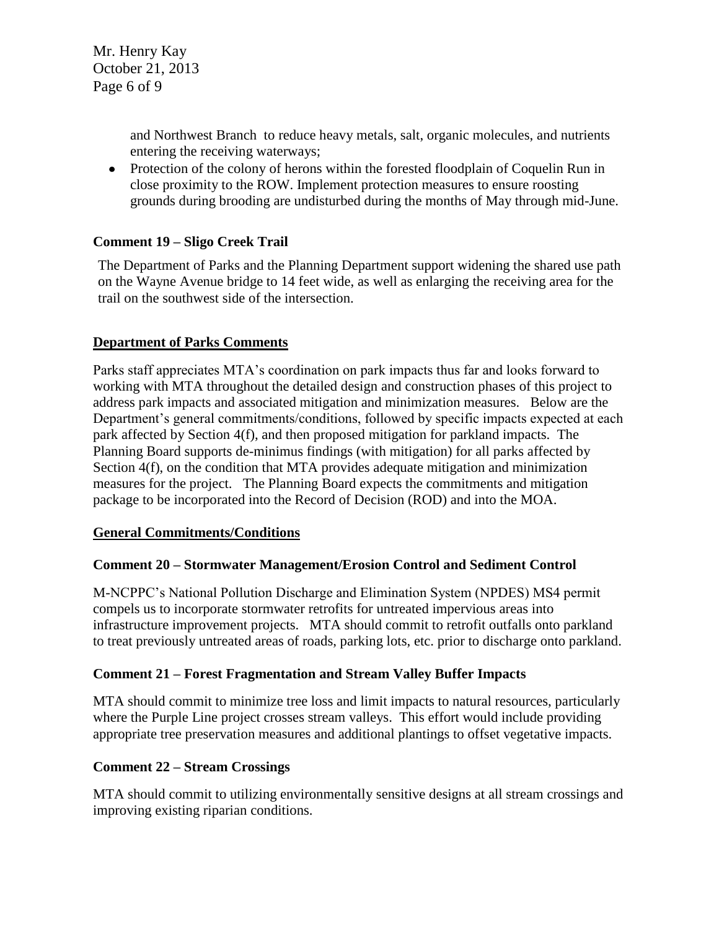Mr. Henry Kay October 21, 2013 Page 6 of 9

> and Northwest Branch to reduce heavy metals, salt, organic molecules, and nutrients entering the receiving waterways;

• Protection of the colony of herons within the forested floodplain of Coquelin Run in close proximity to the ROW. Implement protection measures to ensure roosting grounds during brooding are undisturbed during the months of May through mid-June.

### **Comment 19 – Sligo Creek Trail**

The Department of Parks and the Planning Department support widening the shared use path on the Wayne Avenue bridge to 14 feet wide, as well as enlarging the receiving area for the trail on the southwest side of the intersection.

### **Department of Parks Comments**

Parks staff appreciates MTA's coordination on park impacts thus far and looks forward to working with MTA throughout the detailed design and construction phases of this project to address park impacts and associated mitigation and minimization measures. Below are the Department's general commitments/conditions, followed by specific impacts expected at each park affected by Section 4(f), and then proposed mitigation for parkland impacts. The Planning Board supports de-minimus findings (with mitigation) for all parks affected by Section 4(f), on the condition that MTA provides adequate mitigation and minimization measures for the project. The Planning Board expects the commitments and mitigation package to be incorporated into the Record of Decision (ROD) and into the MOA.

#### **General Commitments/Conditions**

#### **Comment 20 – Stormwater Management/Erosion Control and Sediment Control**

M-NCPPC's National Pollution Discharge and Elimination System (NPDES) MS4 permit compels us to incorporate stormwater retrofits for untreated impervious areas into infrastructure improvement projects. MTA should commit to retrofit outfalls onto parkland to treat previously untreated areas of roads, parking lots, etc. prior to discharge onto parkland.

#### **Comment 21 – Forest Fragmentation and Stream Valley Buffer Impacts**

MTA should commit to minimize tree loss and limit impacts to natural resources, particularly where the Purple Line project crosses stream valleys. This effort would include providing appropriate tree preservation measures and additional plantings to offset vegetative impacts.

#### **Comment 22 – Stream Crossings**

MTA should commit to utilizing environmentally sensitive designs at all stream crossings and improving existing riparian conditions.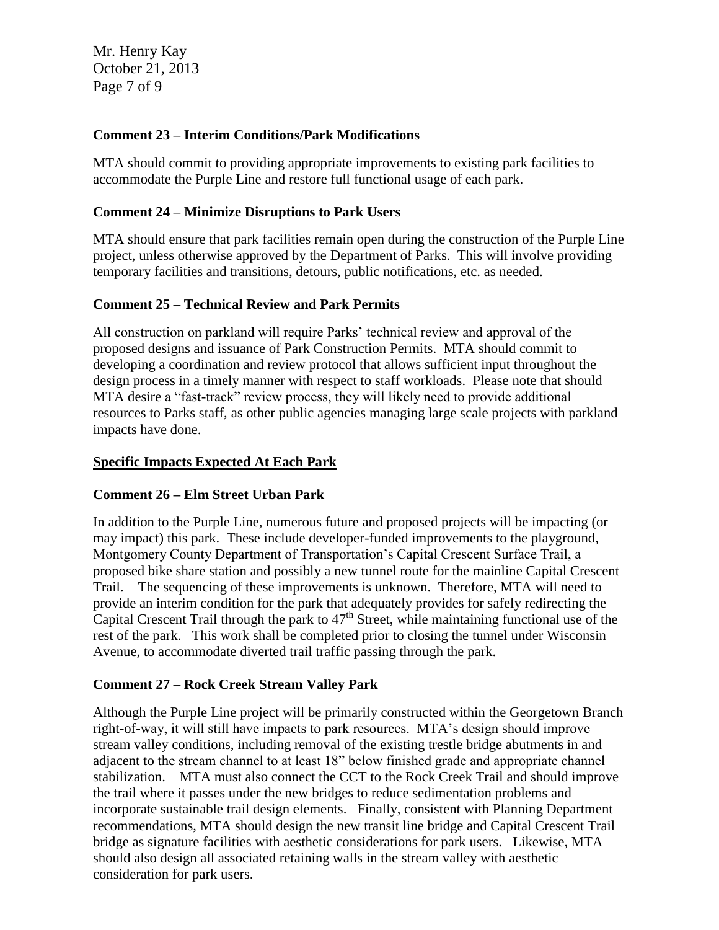Mr. Henry Kay October 21, 2013 Page 7 of 9

#### **Comment 23 – Interim Conditions/Park Modifications**

MTA should commit to providing appropriate improvements to existing park facilities to accommodate the Purple Line and restore full functional usage of each park.

### **Comment 24 – Minimize Disruptions to Park Users**

MTA should ensure that park facilities remain open during the construction of the Purple Line project, unless otherwise approved by the Department of Parks. This will involve providing temporary facilities and transitions, detours, public notifications, etc. as needed.

### **Comment 25 – Technical Review and Park Permits**

All construction on parkland will require Parks' technical review and approval of the proposed designs and issuance of Park Construction Permits. MTA should commit to developing a coordination and review protocol that allows sufficient input throughout the design process in a timely manner with respect to staff workloads. Please note that should MTA desire a "fast-track" review process, they will likely need to provide additional resources to Parks staff, as other public agencies managing large scale projects with parkland impacts have done.

### **Specific Impacts Expected At Each Park**

#### **Comment 26 – Elm Street Urban Park**

In addition to the Purple Line, numerous future and proposed projects will be impacting (or may impact) this park. These include developer-funded improvements to the playground, Montgomery County Department of Transportation's Capital Crescent Surface Trail, a proposed bike share station and possibly a new tunnel route for the mainline Capital Crescent Trail. The sequencing of these improvements is unknown. Therefore, MTA will need to provide an interim condition for the park that adequately provides for safely redirecting the Capital Crescent Trail through the park to  $47<sup>th</sup>$  Street, while maintaining functional use of the rest of the park. This work shall be completed prior to closing the tunnel under Wisconsin Avenue, to accommodate diverted trail traffic passing through the park.

## **Comment 27 – Rock Creek Stream Valley Park**

Although the Purple Line project will be primarily constructed within the Georgetown Branch right-of-way, it will still have impacts to park resources. MTA's design should improve stream valley conditions, including removal of the existing trestle bridge abutments in and adjacent to the stream channel to at least 18" below finished grade and appropriate channel stabilization. MTA must also connect the CCT to the Rock Creek Trail and should improve the trail where it passes under the new bridges to reduce sedimentation problems and incorporate sustainable trail design elements. Finally, consistent with Planning Department recommendations, MTA should design the new transit line bridge and Capital Crescent Trail bridge as signature facilities with aesthetic considerations for park users. Likewise, MTA should also design all associated retaining walls in the stream valley with aesthetic consideration for park users.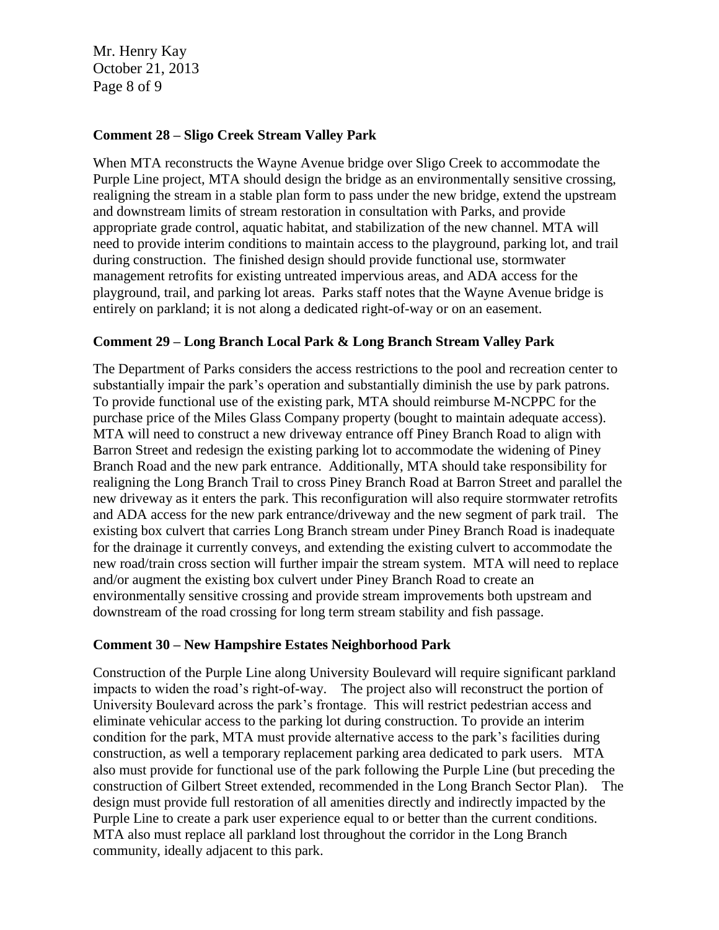Mr. Henry Kay October 21, 2013 Page 8 of 9

#### **Comment 28 – Sligo Creek Stream Valley Park**

When MTA reconstructs the Wayne Avenue bridge over Sligo Creek to accommodate the Purple Line project, MTA should design the bridge as an environmentally sensitive crossing, realigning the stream in a stable plan form to pass under the new bridge, extend the upstream and downstream limits of stream restoration in consultation with Parks, and provide appropriate grade control, aquatic habitat, and stabilization of the new channel. MTA will need to provide interim conditions to maintain access to the playground, parking lot, and trail during construction. The finished design should provide functional use, stormwater management retrofits for existing untreated impervious areas, and ADA access for the playground, trail, and parking lot areas. Parks staff notes that the Wayne Avenue bridge is entirely on parkland; it is not along a dedicated right-of-way or on an easement.

#### **Comment 29 – Long Branch Local Park & Long Branch Stream Valley Park**

The Department of Parks considers the access restrictions to the pool and recreation center to substantially impair the park's operation and substantially diminish the use by park patrons. To provide functional use of the existing park, MTA should reimburse M-NCPPC for the purchase price of the Miles Glass Company property (bought to maintain adequate access). MTA will need to construct a new driveway entrance off Piney Branch Road to align with Barron Street and redesign the existing parking lot to accommodate the widening of Piney Branch Road and the new park entrance. Additionally, MTA should take responsibility for realigning the Long Branch Trail to cross Piney Branch Road at Barron Street and parallel the new driveway as it enters the park. This reconfiguration will also require stormwater retrofits and ADA access for the new park entrance/driveway and the new segment of park trail. The existing box culvert that carries Long Branch stream under Piney Branch Road is inadequate for the drainage it currently conveys, and extending the existing culvert to accommodate the new road/train cross section will further impair the stream system. MTA will need to replace and/or augment the existing box culvert under Piney Branch Road to create an environmentally sensitive crossing and provide stream improvements both upstream and downstream of the road crossing for long term stream stability and fish passage.

#### **Comment 30 – New Hampshire Estates Neighborhood Park**

Construction of the Purple Line along University Boulevard will require significant parkland impacts to widen the road's right-of-way. The project also will reconstruct the portion of University Boulevard across the park's frontage. This will restrict pedestrian access and eliminate vehicular access to the parking lot during construction. To provide an interim condition for the park, MTA must provide alternative access to the park's facilities during construction, as well a temporary replacement parking area dedicated to park users. MTA also must provide for functional use of the park following the Purple Line (but preceding the construction of Gilbert Street extended, recommended in the Long Branch Sector Plan). The design must provide full restoration of all amenities directly and indirectly impacted by the Purple Line to create a park user experience equal to or better than the current conditions. MTA also must replace all parkland lost throughout the corridor in the Long Branch community, ideally adjacent to this park.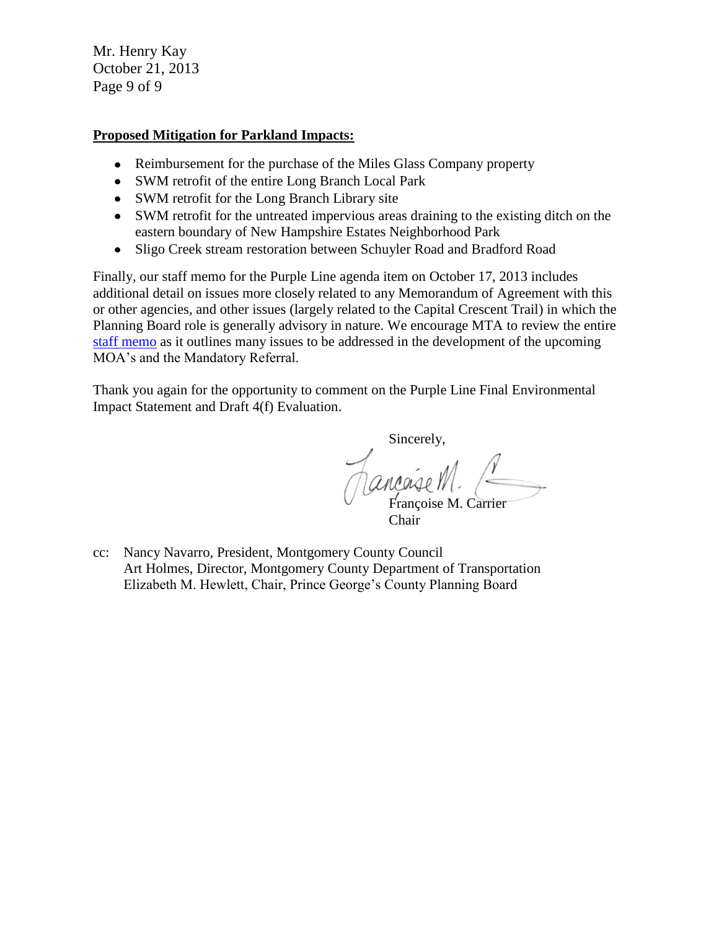Mr. Henry Kay October 21, 2013 Page 9 of 9

#### **Proposed Mitigation for Parkland Impacts:**

- Reimbursement for the purchase of the Miles Glass Company property
- SWM retrofit of the entire Long Branch Local Park
- SWM retrofit for the Long Branch Library site
- SWM retrofit for the untreated impervious areas draining to the existing ditch on the eastern boundary of New Hampshire Estates Neighborhood Park
- Sligo Creek stream restoration between Schuyler Road and Bradford Road  $\bullet$

Finally, our staff memo for the Purple Line agenda item on October 17, 2013 includes additional detail on issues more closely related to any Memorandum of Agreement with this or other agencies, and other issues (largely related to the Capital Crescent Trail) in which the Planning Board role is generally advisory in nature. We encourage MTA to review the entire staff memo as it outlines many issues to be addressed in the development of the upcoming MOA's and the Mandatory Referral.

Thank you again for the opportunity to comment on the Purple Line Final Environmental Impact Statement and Draft 4(f) Evaluation.

Sincerely, Hancaise M.

Chair

cc: Nancy Navarro, President, Montgomery County Council Art Holmes, Director, Montgomery County Department of Transportation Elizabeth M. Hewlett, Chair, Prince George's County Planning Board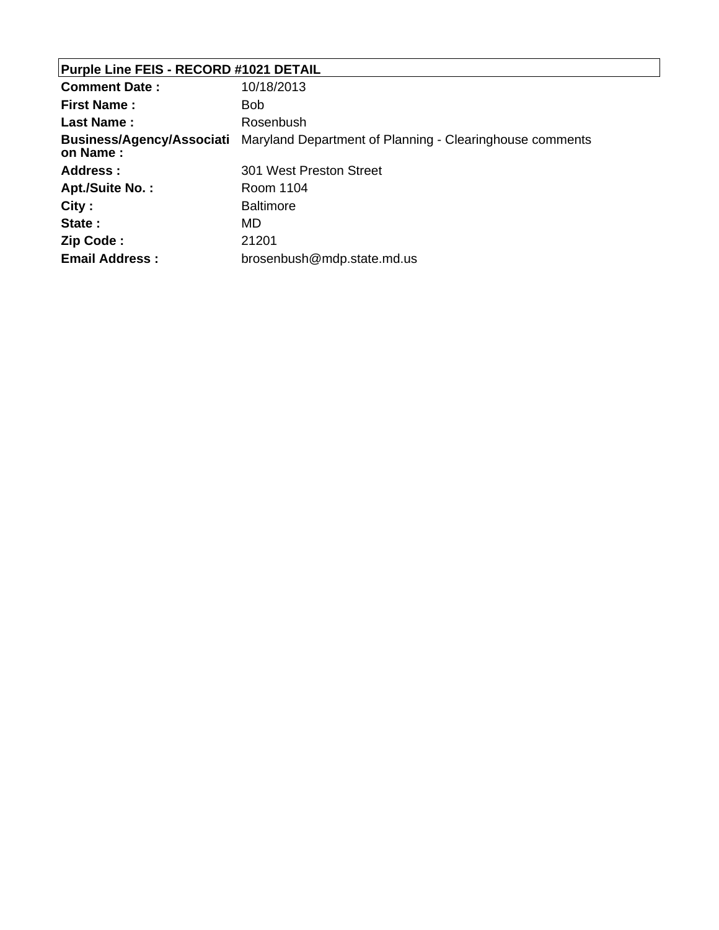# **Purple Line FEIS - RECORD #1021 DETAIL**

| <b>Comment Date:</b>                         | 10/18/2013                                               |
|----------------------------------------------|----------------------------------------------------------|
| <b>First Name:</b>                           | <b>Bob</b>                                               |
| <b>Last Name:</b>                            | Rosenbush                                                |
| <b>Business/Agency/Associati</b><br>on Name: | Maryland Department of Planning - Clearinghouse comments |
| <b>Address:</b>                              | 301 West Preston Street                                  |
| Apt./Suite No.:                              | Room 1104                                                |
| City:                                        | <b>Baltimore</b>                                         |
| State:                                       | MD                                                       |
| Zip Code:                                    | 21201                                                    |
| <b>Email Address:</b>                        | brosenbush@mdp.state.md.us                               |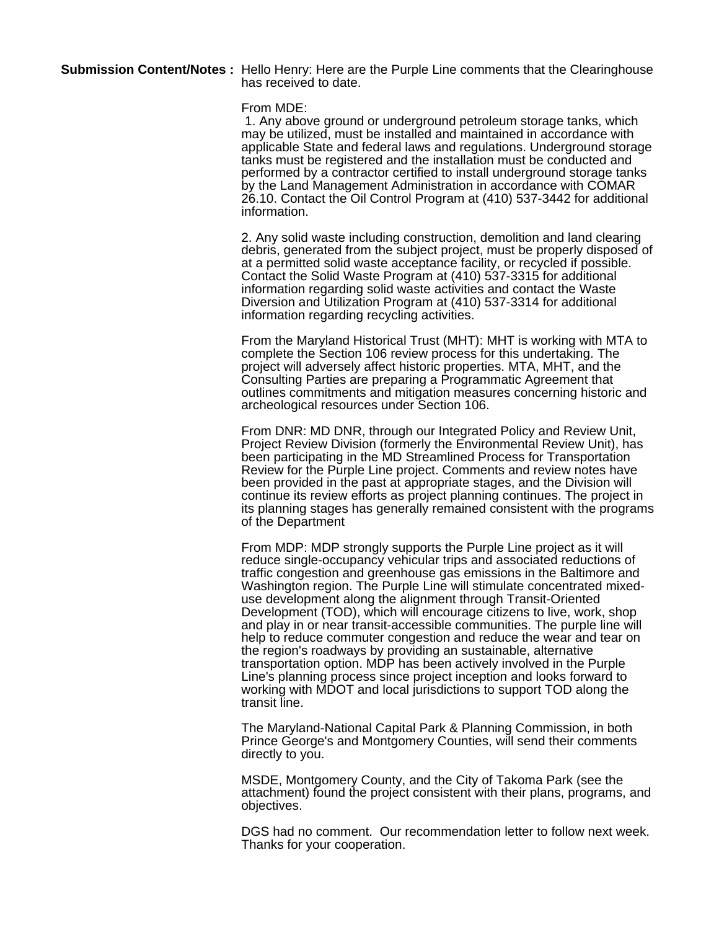**Submission Content/Notes :** Hello Henry: Here are the Purple Line comments that the Clearinghouse has received to date.

#### From MDE:

 1. Any above ground or underground petroleum storage tanks, which may be utilized, must be installed and maintained in accordance with applicable State and federal laws and regulations. Underground storage tanks must be registered and the installation must be conducted and performed by a contractor certified to install underground storage tanks by the Land Management Administration in accordance with COMAR 26.10. Contact the Oil Control Program at (410) 537-3442 for additional information.

2. Any solid waste including construction, demolition and land clearing debris, generated from the subject project, must be properly disposed of at a permitted solid waste acceptance facility, or recycled if possible. Contact the Solid Waste Program at (410) 537-3315 for additional information regarding solid waste activities and contact the Waste Diversion and Utilization Program at (410) 537-3314 for additional information regarding recycling activities.

From the Maryland Historical Trust (MHT): MHT is working with MTA to complete the Section 106 review process for this undertaking. The project will adversely affect historic properties. MTA, MHT, and the Consulting Parties are preparing a Programmatic Agreement that outlines commitments and mitigation measures concerning historic and archeological resources under Section 106.

From DNR: MD DNR, through our Integrated Policy and Review Unit, Project Review Division (formerly the Environmental Review Unit), has been participating in the MD Streamlined Process for Transportation Review for the Purple Line project. Comments and review notes have been provided in the past at appropriate stages, and the Division will continue its review efforts as project planning continues. The project in its planning stages has generally remained consistent with the programs of the Department

From MDP: MDP strongly supports the Purple Line project as it will reduce single-occupancy vehicular trips and associated reductions of traffic congestion and greenhouse gas emissions in the Baltimore and Washington region. The Purple Line will stimulate concentrated mixeduse development along the alignment through Transit-Oriented Development (TOD), which will encourage citizens to live, work, shop and play in or near transit-accessible communities. The purple line will help to reduce commuter congestion and reduce the wear and tear on the region's roadways by providing an sustainable, alternative transportation option. MDP has been actively involved in the Purple Line's planning process since project inception and looks forward to working with MDOT and local jurisdictions to support TOD along the transit line.

The Maryland-National Capital Park & Planning Commission, in both Prince George's and Montgomery Counties, will send their comments directly to you.

MSDE, Montgomery County, and the City of Takoma Park (see the attachment) found the project consistent with their plans, programs, and objectives.

DGS had no comment. Our recommendation letter to follow next week. Thanks for your cooperation.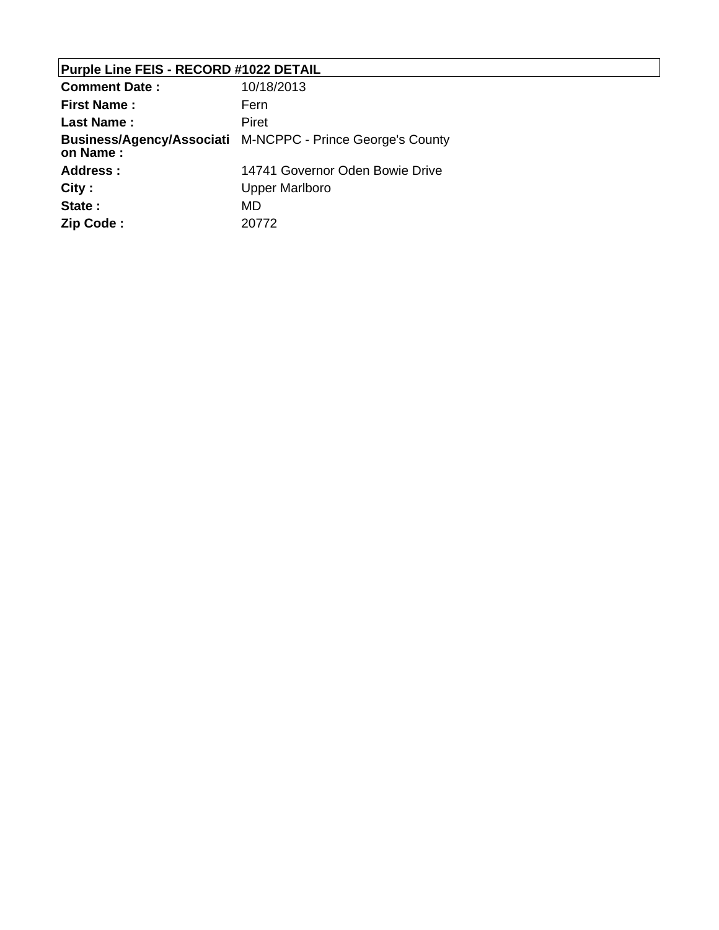# **Purple Line FEIS - RECORD #1022 DETAIL**

| <b>Comment Date:</b> | 10/18/2013                                                 |
|----------------------|------------------------------------------------------------|
| <b>First Name:</b>   | Fern                                                       |
| <b>Last Name:</b>    | Piret                                                      |
| on Name:             | Business/Agency/Associati M-NCPPC - Prince George's County |
| Address:             | 14741 Governor Oden Bowie Drive                            |
| City:                | Upper Marlboro                                             |
| State:               | MD                                                         |
| Zip Code:            | 20772                                                      |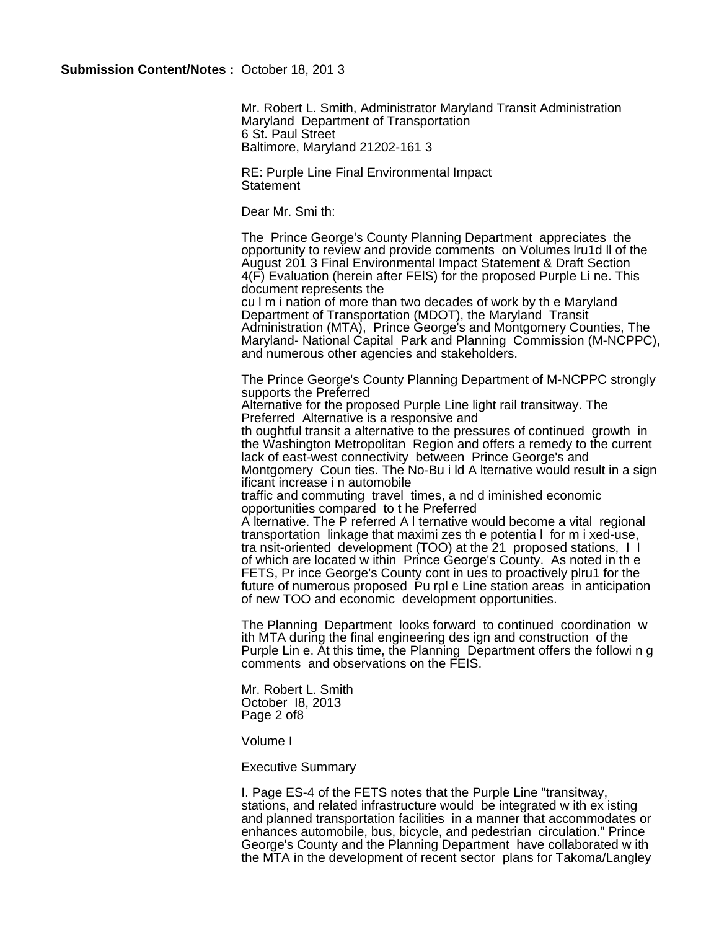Mr. Robert L. Smith, Administrator Maryland Transit Administration Maryland Department of Transportation 6 St. Paul Street Baltimore, Maryland 21202-161 3

RE: Purple Line Final Environmental Impact **Statement** 

Dear Mr. Smi th:

The Prince George's County Planning Department appreciates the opportunity to review and provide comments on Volumes lru1d ll of the August 201 3 Final Environmental Impact Statement & Draft Section 4(F) Evaluation (herein after FElS) for the proposed Purple Li ne. This document represents the

cu l m i nation of more than two decades of work by th e Maryland Department of Transportation (MDOT), the Maryland Transit Administration (MTA), Prince George's and Montgomery Counties, The Maryland- National Capital Park and Planning Commission (M-NCPPC), and numerous other agencies and stakeholders.

The Prince George's County Planning Department of M-NCPPC strongly supports the Preferred

Alternative for the proposed Purple Line light rail transitway. The Preferred Alternative is a responsive and

th oughtful transit a alternative to the pressures of continued growth in the Washington Metropolitan Region and offers a remedy to the current lack of east-west connectivity between Prince George's and Montgomery Coun ties. The No-Bu i ld A lternative would result in a sign ificant increase i n automobile

traffic and commuting travel times, a nd d iminished economic opportunities compared to t he Preferred

A lternative. The P referred A l ternative would become a vital regional transportation linkage that maximi zes th e potentia l for m i xed-use, tra nsit-oriented development (TOO) at the 21 proposed stations, I I of which are located w ithin Prince George's County. As noted in th e FETS, Pr ince George's County cont in ues to proactively plru1 for the future of numerous proposed Pu rpl e Line station areas in anticipation of new TOO and economic development opportunities.

The Planning Department looks forward to continued coordination w ith MTA during the final engineering des ign and construction of the Purple Lin e. At this time, the Planning Department offers the followi n g comments and observations on the FEIS.

Mr. Robert L. Smith October I8, 2013 Page 2 of8

Volume I

Executive Summary

I. Page ES-4 of the FETS notes that the Purple Line "transitway, stations, and related infrastructure would be integrated w ith ex isting and planned transportation facilities in a manner that accommodates or enhances automobile, bus, bicycle, and pedestrian circulation." Prince George's County and the Planning Department have collaborated w ith the MTA in the development of recent sector plans for Takoma/Langley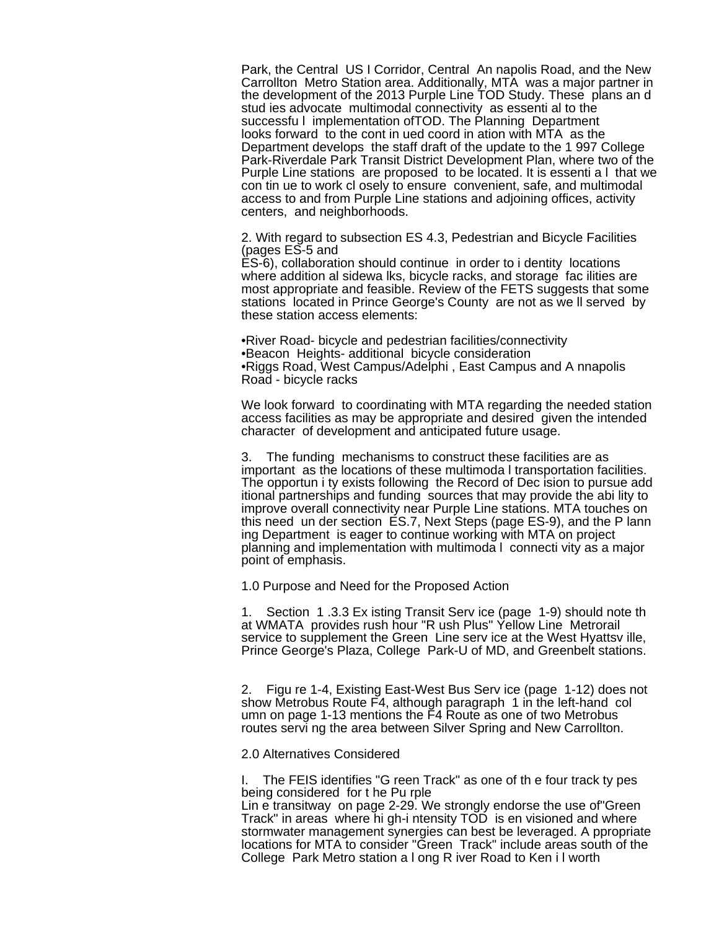Park, the Central US I Corridor, Central An napolis Road, and the New Carrollton Metro Station area. Additionally, MTA was a major partner in the development of the 2013 Purple Line TOD Study. These plans an d stud ies advocate multimodal connectivity as essenti al to the successfu l implementation ofTOD. The Planning Department looks forward to the cont in ued coord in ation with MTA as the Department develops the staff draft of the update to the 1 997 College Park-Riverdale Park Transit District Development Plan, where two of the Purple Line stations are proposed to be located. It is essenti a l that we con tin ue to work cl osely to ensure convenient, safe, and multimodal access to and from Purple Line stations and adjoining offices, activity centers, and neighborhoods.

2. With regard to subsection ES 4.3, Pedestrian and Bicycle Facilities (pages ES-5 and

ES-6), collaboration should continue in order to i dentity locations where addition al sidewa lks, bicycle racks, and storage fac ilities are most appropriate and feasible. Review of the FETS suggests that some stations located in Prince George's County are not as we ll served by these station access elements:

•River Road- bicycle and pedestrian facilities/connectivity •Beacon Heights- additional bicycle consideration •Riggs Road, West Campus/Adelphi , East Campus and A nnapolis Road - bicycle racks

We look forward to coordinating with MTA regarding the needed station access facilities as may be appropriate and desired given the intended character of development and anticipated future usage.

3. The funding mechanisms to construct these facilities are as important as the locations of these multimoda l transportation facilities. The opportun i ty exists following the Record of Dec ision to pursue add itional partnerships and funding sources that may provide the abi lity to improve overall connectivity near Purple Line stations. MTA touches on this need un der section ES.7, Next Steps (page ES-9), and the P lann ing Department is eager to continue working with MTA on project planning and implementation with multimoda l connecti vity as a major point of emphasis.

1.0 Purpose and Need for the Proposed Action

1. Section 1 .3.3 Ex isting Transit Serv ice (page 1-9) should note th at WMATA provides rush hour "R ush Plus" Yellow Line Metrorail service to supplement the Green Line serv ice at the West Hyattsv ille, Prince George's Plaza, College Park-U of MD, and Greenbelt stations.

2. Figu re 1-4, Existing East-West Bus Serv ice (page 1-12) does not show Metrobus Route F4, although paragraph 1 in the left-hand col umn on page 1-13 mentions the F4 Route as one of two Metrobus routes servi ng the area between Silver Spring and New Carrollton.

2.0 Alternatives Considered

I. The FEIS identifies "G reen Track" as one of th e four track ty pes being considered for t he Pu rple

Lin e transitway on page 2-29. We strongly endorse the use of"Green Track" in areas where hi gh-i ntensity TOD is en visioned and where stormwater management synergies can best be leveraged. A ppropriate locations for MTA to consider "Green Track" include areas south of the College Park Metro station a l ong R iver Road to Ken i l worth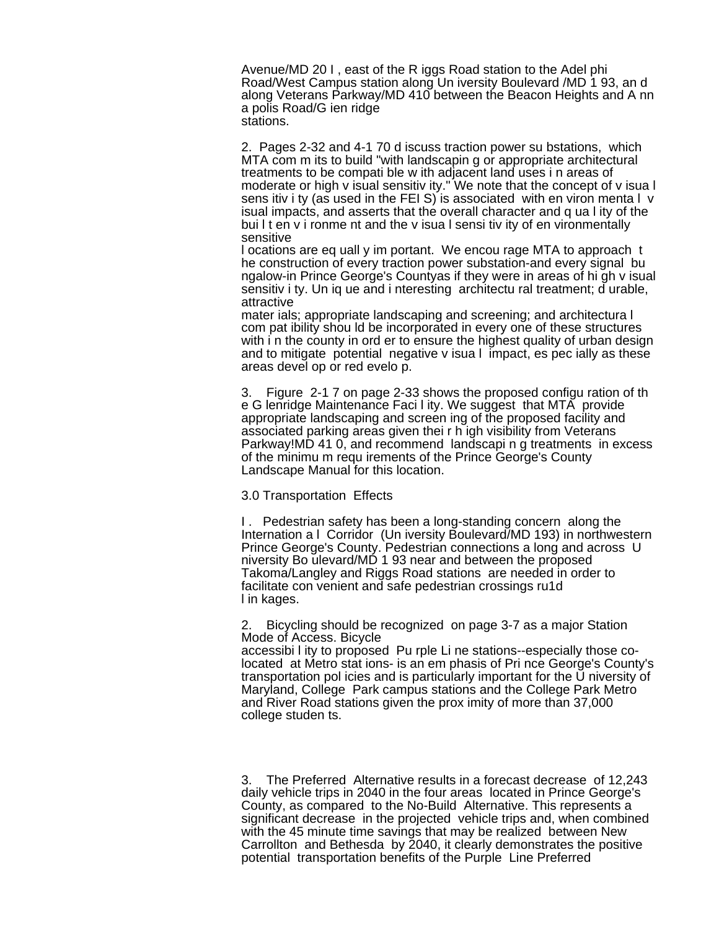Avenue/MD 20 I , east of the R iggs Road station to the Adel phi Road/West Campus station along Un iversity Boulevard /MD 1 93, an d along Veterans Parkway/MD 410 between the Beacon Heights and A nn a polis Road/G ien ridge stations.

2. Pages 2-32 and 4-1 70 d iscuss traction power su bstations, which MTA com m its to build "with landscapin g or appropriate architectural treatments to be compati ble w ith adjacent land uses i n areas of moderate or high v isual sensitiv ity." We note that the concept of v isua l sens itiv i ty (as used in the FEI S) is associated with en viron menta l v isual impacts, and asserts that the overall character and q ua l ity of the bui I t en v i ronme nt and the v isua I sensi tiv ity of en vironmentally sensitive

l ocations are eq uall y im portant. We encou rage MTA to approach t he construction of every traction power substation-and every signal bu ngalow-in Prince George's Countyas if they were in areas of hi gh v isual sensitiv i ty. Un iq ue and i nteresting architectu ral treatment; d urable, attractive

mater ials; appropriate landscaping and screening; and architectura l com pat ibility shou ld be incorporated in every one of these structures with i n the county in ord er to ensure the highest quality of urban design and to mitigate potential negative v isua l impact, es pec ially as these areas devel op or red evelo p.

3. Figure 2-1 7 on page 2-33 shows the proposed configu ration of th e G lenridge Maintenance Faci l ity. We suggest that MTA provide appropriate landscaping and screen ing of the proposed facility and associated parking areas given thei r h igh visibility from Veterans Parkway!MD 41 0, and recommend landscapi n g treatments in excess of the minimu m requ irements of the Prince George's County Landscape Manual for this location.

3.0 Transportation Effects

I . Pedestrian safety has been a long-standing concern along the Internation a l Corridor (Un iversity Boulevard/MD 193) in northwestern Prince George's County. Pedestrian connections a long and across U niversity Bo ulevard/MD 1 93 near and between the proposed Takoma/Langley and Riggs Road stations are needed in order to facilitate con venient and safe pedestrian crossings ru1d l in kages.

2. Bicycling should be recognized on page 3-7 as a major Station Mode of Access. Bicycle

accessibi l ity to proposed Pu rple Li ne stations--especially those colocated at Metro stat ions- is an em phasis of Pri nce George's County's transportation pol icies and is particularly important for the U niversity of Maryland, College Park campus stations and the College Park Metro and River Road stations given the prox imity of more than 37,000 college studen ts.

3. The Preferred Alternative results in a forecast decrease of 12,243 daily vehicle trips in 2040 in the four areas located in Prince George's County, as compared to the No-Build Alternative. This represents a significant decrease in the projected vehicle trips and, when combined with the 45 minute time savings that may be realized between New Carrollton and Bethesda by 2040, it clearly demonstrates the positive potential transportation benefits of the Purple Line Preferred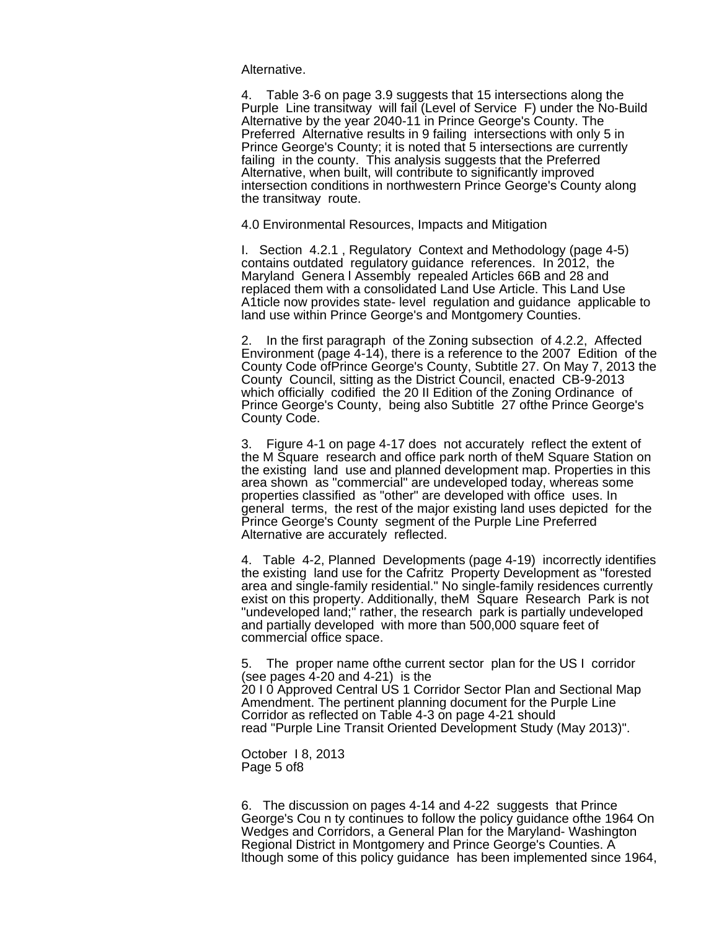Alternative.

4. Table 3-6 on page 3.9 suggests that 15 intersections along the Purple Line transitway will fail (Level of Service F) under the No-Build Alternative by the year 2040-11 in Prince George's County. The Preferred Alternative results in 9 failing intersections with only 5 in Prince George's County; it is noted that 5 intersections are currently failing in the county. This analysis suggests that the Preferred Alternative, when built, will contribute to significantly improved intersection conditions in northwestern Prince George's County along the transitway route.

4.0 Environmental Resources, Impacts and Mitigation

I. Section 4.2.1 , Regulatory Context and Methodology (page 4-5) contains outdated regulatory guidance references. In 2012, the Maryland Genera l Assembly repealed Articles 66B and 28 and replaced them with a consolidated Land Use Article. This Land Use A1ticle now provides state- level regulation and guidance applicable to land use within Prince George's and Montgomery Counties.

2. In the first paragraph of the Zoning subsection of 4.2.2, Affected Environment (page 4-14), there is a reference to the 2007 Edition of the County Code ofPrince George's County, Subtitle 27. On May 7, 2013 the County Council, sitting as the District Council, enacted CB-9-2013 which officially codified the 20 II Edition of the Zoning Ordinance of Prince George's County, being also Subtitle 27 ofthe Prince George's County Code.

3. Figure 4-1 on page 4-17 does not accurately reflect the extent of the M Square research and office park north of theM Square Station on the existing land use and planned development map. Properties in this area shown as "commercial" are undeveloped today, whereas some properties classified as "other" are developed with office uses. In general terms, the rest of the major existing land uses depicted for the Prince George's County segment of the Purple Line Preferred Alternative are accurately reflected.

4. Table 4-2, Planned Developments (page 4-19) incorrectly identifies the existing land use for the Cafritz Property Development as "forested area and single-family residential." No single-family residences currently exist on this property. Additionally, theM Square Research Park is not "undeveloped land;" rather, the research park is partially undeveloped and partially developed with more than 500,000 square feet of commercial office space.

5. The proper name ofthe current sector plan for the US I corridor (see pages 4-20 and 4-21) is the 20 I 0 Approved Central US 1 Corridor Sector Plan and Sectional Map Amendment. The pertinent planning document for the Purple Line Corridor as reflected on Table 4-3 on page 4-21 should read "Purple Line Transit Oriented Development Study (May 2013)".

October I 8, 2013 Page 5 of8

6. The discussion on pages 4-14 and 4-22 suggests that Prince George's Cou n ty continues to follow the policy guidance ofthe 1964 On Wedges and Corridors, a General Plan for the Maryland- Washington Regional District in Montgomery and Prince George's Counties. A lthough some of this policy guidance has been implemented since 1964,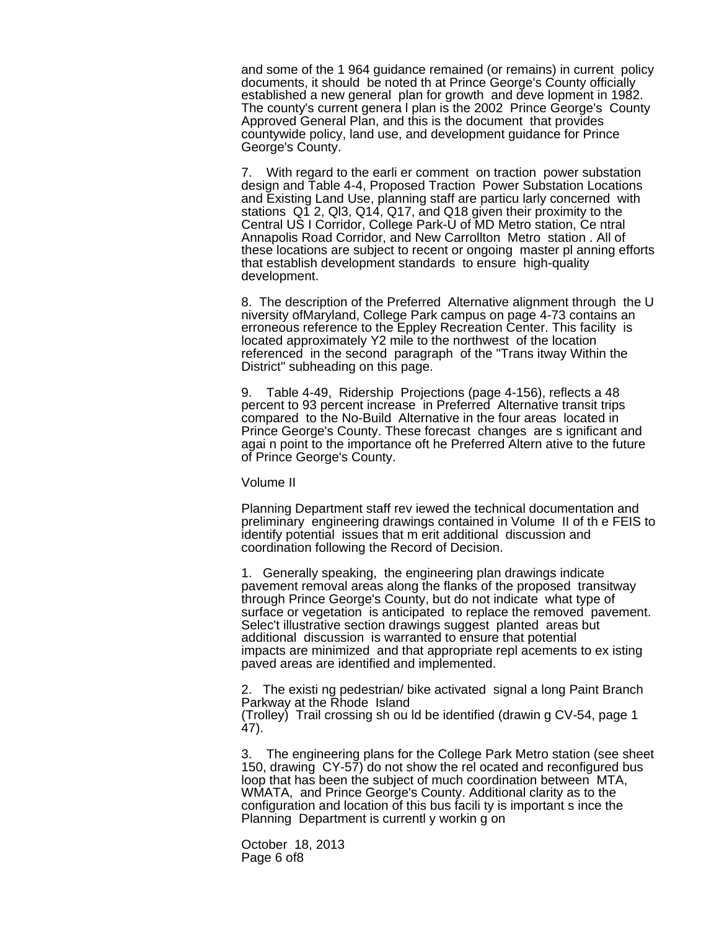and some of the 1 964 guidance remained (or remains) in current policy documents, it should be noted th at Prince George's County officially established a new general plan for growth and deve lopment in 1982. The county's current genera l plan is the 2002 Prince George's County Approved General Plan, and this is the document that provides countywide policy, land use, and development guidance for Prince George's County.

7. With regard to the earli er comment on traction power substation design and Table 4-4, Proposed Traction Power Substation Locations and Existing Land Use, planning staff are particu larly concerned with stations Q1 2, Ql3, Q14, Q17, and Q18 given their proximity to the Central US I Corridor, College Park-U of MD Metro station, Ce ntral Annapolis Road Corridor, and New Carrollton Metro station . All of these locations are subject to recent or ongoing master pl anning efforts that establish development standards to ensure high-quality development.

8. The description of the Preferred Alternative alignment through the U niversity ofMaryland, College Park campus on page 4-73 contains an erroneous reference to the Eppley Recreation Center. This facility is located approximately Y2 mile to the northwest of the location referenced in the second paragraph of the "Trans itway Within the District" subheading on this page.

9. Table 4-49, Ridership Projections (page 4-156), reflects a 48 percent to 93 percent increase in Preferred Alternative transit trips compared to the No-Build Alternative in the four areas located in Prince George's County. These forecast changes are s ignificant and agai n point to the importance oft he Preferred Altern ative to the future of Prince George's County.

#### Volume II

Planning Department staff rev iewed the technical documentation and preliminary engineering drawings contained in Volume II of th e FEIS to identify potential issues that m erit additional discussion and coordination following the Record of Decision.

1. Generally speaking, the engineering plan drawings indicate pavement removal areas along the flanks of the proposed transitway through Prince George's County, but do not indicate what type of surface or vegetation is anticipated to replace the removed pavement. Selec't illustrative section drawings suggest planted areas but additional discussion is warranted to ensure that potential impacts are minimized and that appropriate repl acements to ex isting paved areas are identified and implemented.

2. The existi ng pedestrian/ bike activated signal a long Paint Branch Parkway at the Rhode Island (Trolley) Trail crossing sh ou ld be identified (drawin g CV-54, page 1 47).

3. The engineering plans for the College Park Metro station (see sheet 150, drawing CY-57) do not show the rel ocated and reconfigured bus loop that has been the subject of much coordination between MTA, WMATA, and Prince George's County. Additional clarity as to the configuration and location of this bus facili ty is important s ince the Planning Department is currentl y workin g on

October 18, 2013 Page 6 of8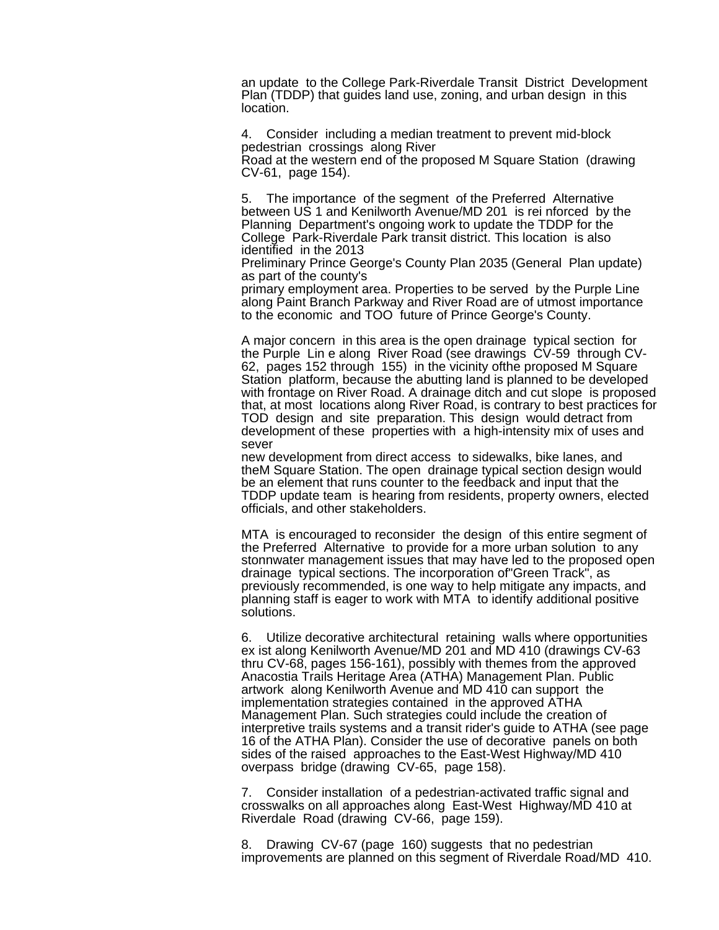an update to the College Park-Riverdale Transit District Development Plan (TDDP) that guides land use, zoning, and urban design in this location.

4. Consider including a median treatment to prevent mid-block pedestrian crossings along River

Road at the western end of the proposed M Square Station (drawing CV-61, page 154).

5. The importance of the segment of the Preferred Alternative between US 1 and Kenilworth Avenue/MD 201 is rei nforced by the Planning Department's ongoing work to update the TDDP for the College Park-Riverdale Park transit district. This location is also identified in the 2013

Preliminary Prince George's County Plan 2035 (General Plan update) as part of the county's

primary employment area. Properties to be served by the Purple Line along Paint Branch Parkway and River Road are of utmost importance to the economic and TOO future of Prince George's County.

A major concern in this area is the open drainage typical section for the Purple Lin e along River Road (see drawings CV-59 through CV-62, pages 152 through 155) in the vicinity ofthe proposed M Square Station platform, because the abutting land is planned to be developed with frontage on River Road. A drainage ditch and cut slope is proposed that, at most locations along River Road, is contrary to best practices for TOD design and site preparation. This design would detract from development of these properties with a high-intensity mix of uses and sever

new development from direct access to sidewalks, bike lanes, and theM Square Station. The open drainage typical section design would be an element that runs counter to the feedback and input that the TDDP update team is hearing from residents, property owners, elected officials, and other stakeholders.

MTA is encouraged to reconsider the design of this entire segment of the Preferred Alternative to provide for a more urban solution to any stonnwater management issues that may have led to the proposed open drainage typical sections. The incorporation of"Green Track", as previously recommended, is one way to help mitigate any impacts, and planning staff is eager to work with MTA to identify additional positive solutions.

6. Utilize decorative architectural retaining walls where opportunities ex ist along Kenilworth Avenue/MD 201 and MD 410 (drawings CV-63 thru CV-68, pages 156-161), possibly with themes from the approved Anacostia Trails Heritage Area (ATHA) Management Plan. Public artwork along Kenilworth Avenue and MD 410 can support the implementation strategies contained in the approved ATHA Management Plan. Such strategies could include the creation of interpretive trails systems and a transit rider's guide to ATHA (see page 16 of the ATHA Plan). Consider the use of decorative panels on both sides of the raised approaches to the East-West Highway/MD 410 overpass bridge (drawing CV-65, page 158).

7. Consider installation of a pedestrian-activated traffic signal and crosswalks on all approaches along East-West Highway/MD 410 at Riverdale Road (drawing CV-66, page 159).

8. Drawing CV-67 (page 160) suggests that no pedestrian improvements are planned on this segment of Riverdale Road/MD 410.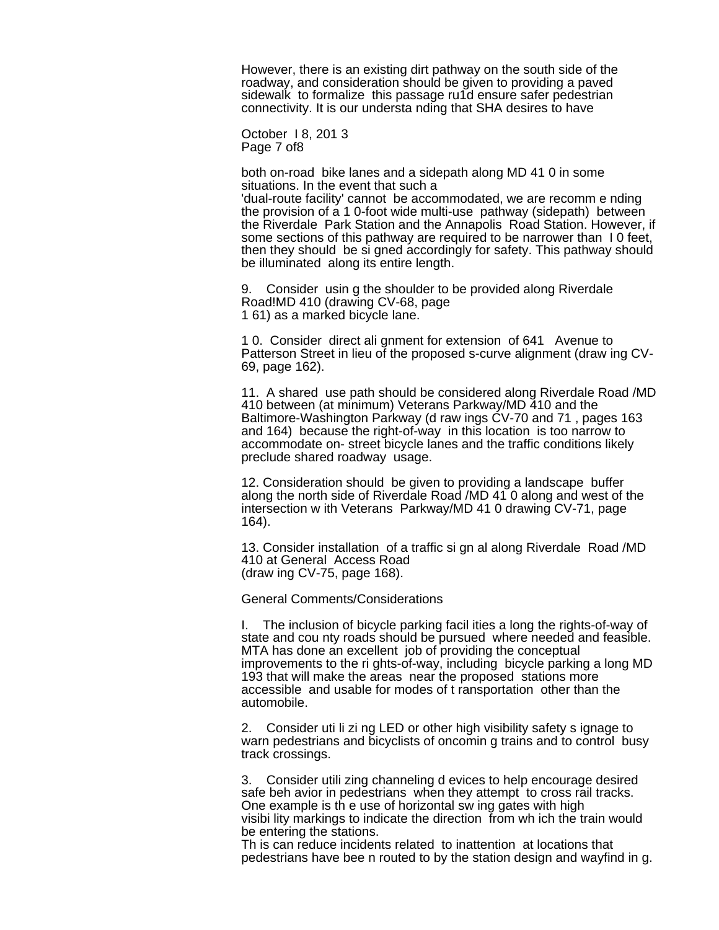However, there is an existing dirt pathway on the south side of the roadway, and consideration should be given to providing a paved sidewalk to formalize this passage ru1d ensure safer pedestrian connectivity. It is our understa nding that SHA desires to have

October I 8, 201 3 Page 7 of8

both on-road bike lanes and a sidepath along MD 41 0 in some situations. In the event that such a 'dual-route facility' cannot be accommodated, we are recomm e nding the provision of a 1 0-foot wide multi-use pathway (sidepath) between the Riverdale Park Station and the Annapolis Road Station. However, if some sections of this pathway are required to be narrower than I 0 feet, then they should be si gned accordingly for safety. This pathway should

9. Consider usin g the shoulder to be provided along Riverdale Road!MD 410 (drawing CV-68, page 1 61) as a marked bicycle lane.

1 0. Consider direct ali gnment for extension of 641 Avenue to Patterson Street in lieu of the proposed s-curve alignment (draw ing CV-69, page 162).

11. A shared use path should be considered along Riverdale Road /MD 410 between (at minimum) Veterans Parkway/MD 410 and the Baltimore-Washington Parkway (d raw ings CV-70 and 71 , pages 163 and 164) because the right-of-way in this location is too narrow to accommodate on- street bicycle lanes and the traffic conditions likely preclude shared roadway usage.

12. Consideration should be given to providing a landscape buffer along the north side of Riverdale Road /MD 41 0 along and west of the intersection w ith Veterans Parkway/MD 41 0 drawing CV-71, page 164).

13. Consider installation of a traffic si gn al along Riverdale Road /MD 410 at General Access Road (draw ing CV-75, page 168).

General Comments/Considerations

be illuminated along its entire length.

I. The inclusion of bicycle parking facil ities a long the rights-of-way of state and cou nty roads should be pursued where needed and feasible. MTA has done an excellent job of providing the conceptual improvements to the ri ghts-of-way, including bicycle parking a long MD 193 that will make the areas near the proposed stations more accessible and usable for modes of t ransportation other than the automobile.

2. Consider uti li zi ng LED or other high visibility safety s ignage to warn pedestrians and bicyclists of oncomin g trains and to control busy track crossings.

3. Consider utili zing channeling d evices to help encourage desired safe beh avior in pedestrians when they attempt to cross rail tracks. One example is th e use of horizontal sw ing gates with high visibi lity markings to indicate the direction from wh ich the train would be entering the stations.

Th is can reduce incidents related to inattention at locations that pedestrians have bee n routed to by the station design and wayfind in g.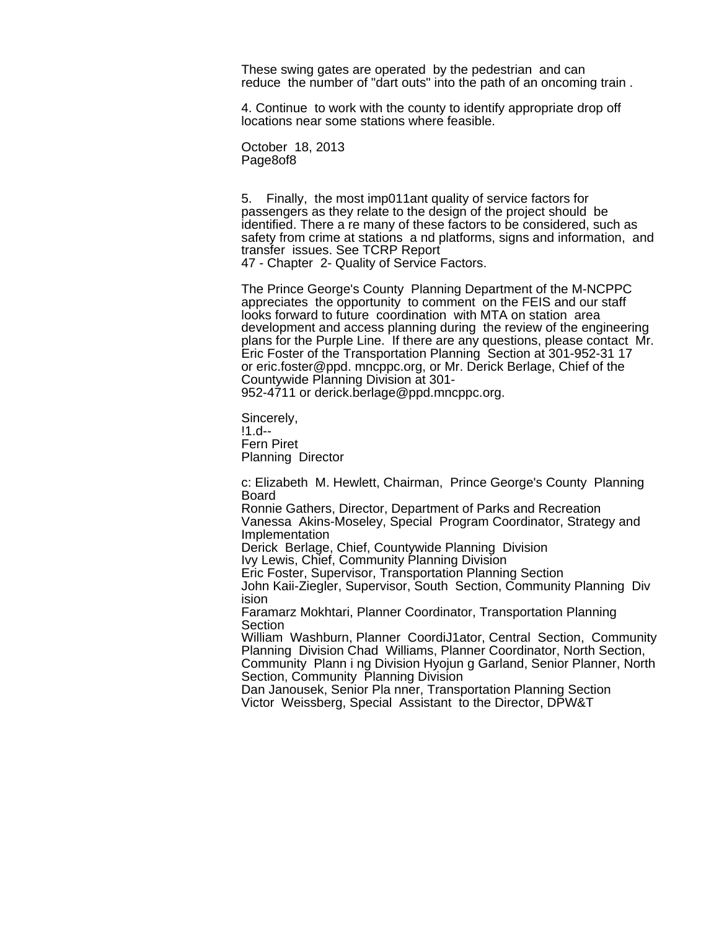These swing gates are operated by the pedestrian and can reduce the number of "dart outs" into the path of an oncoming train .

4. Continue to work with the county to identify appropriate drop off locations near some stations where feasible.

October 18, 2013 Page8of8

5. Finally, the most imp011ant quality of service factors for passengers as they relate to the design of the project should be identified. There a re many of these factors to be considered, such as safety from crime at stations a nd platforms, signs and information, and transfer issues. See TCRP Report

47 - Chapter 2- Quality of Service Factors.

The Prince George's County Planning Department of the M-NCPPC appreciates the opportunity to comment on the FEIS and our staff looks forward to future coordination with MTA on station area development and access planning during the review of the engineering plans for the Purple Line. If there are any questions, please contact Mr. Eric Foster of the Transportation Planning Section at 301-952-31 17 or eric.foster@ppd. mncppc.org, or Mr. Derick Berlage, Chief of the Countywide Planning Division at 301-

952-4711 or derick.berlage@ppd.mncppc.org.

Sincerely, !1.d-- Fern Piret Planning Director

c: Elizabeth M. Hewlett, Chairman, Prince George's County Planning Board

Ronnie Gathers, Director, Department of Parks and Recreation Vanessa Akins-Moseley, Special Program Coordinator, Strategy and Implementation

Derick Berlage, Chief, Countywide Planning Division Ivy Lewis, Chief, Community Planning Division

Eric Foster, Supervisor, Transportation Planning Section

John Kaii-Ziegler, Supervisor, South Section, Community Planning Div ision

Faramarz Mokhtari, Planner Coordinator, Transportation Planning Section

William Washburn, Planner CoordiJ1ator, Central Section, Community Planning Division Chad Williams, Planner Coordinator, North Section, Community Plann i ng Division Hyojun g Garland, Senior Planner, North Section, Community Planning Division

Dan Janousek, Senior Pla nner, Transportation Planning Section Victor Weissberg, Special Assistant to the Director, DPW&T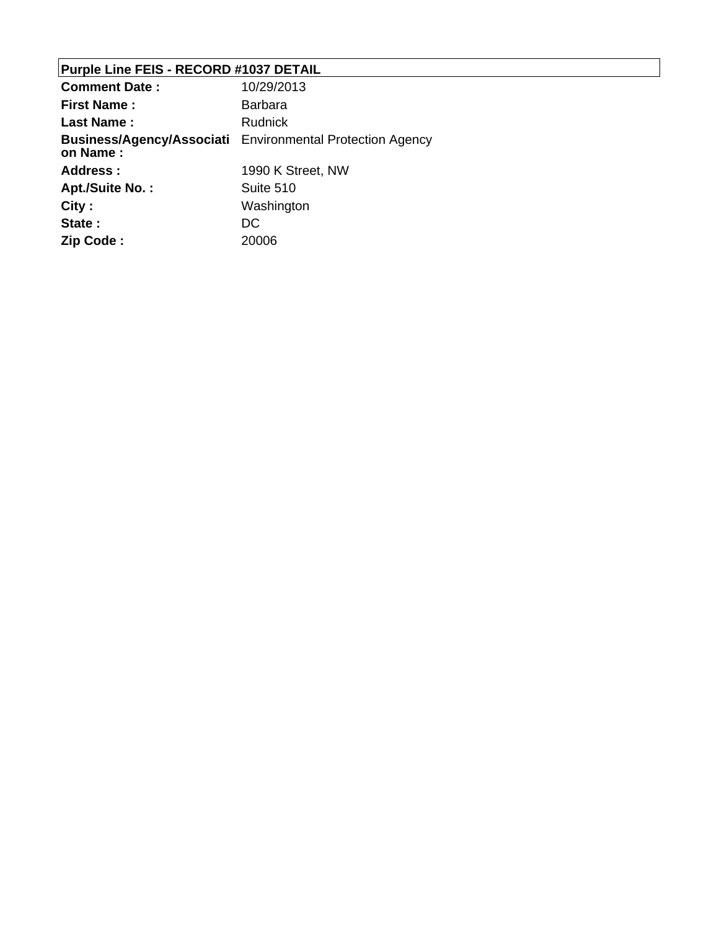# **Purple Line FEIS - RECORD #1037 DETAIL**

| <b>Comment Date:</b> | 10/29/2013                                                       |
|----------------------|------------------------------------------------------------------|
| <b>First Name:</b>   | <b>Barbara</b>                                                   |
| <b>Last Name:</b>    | <b>Rudnick</b>                                                   |
| on Name:             | <b>Business/Agency/Associati</b> Environmental Protection Agency |
| <b>Address:</b>      | 1990 K Street, NW                                                |
| Apt./Suite No.:      | Suite 510                                                        |
| City:                | Washington                                                       |
| State:               | DC                                                               |
| Zip Code:            | 20006                                                            |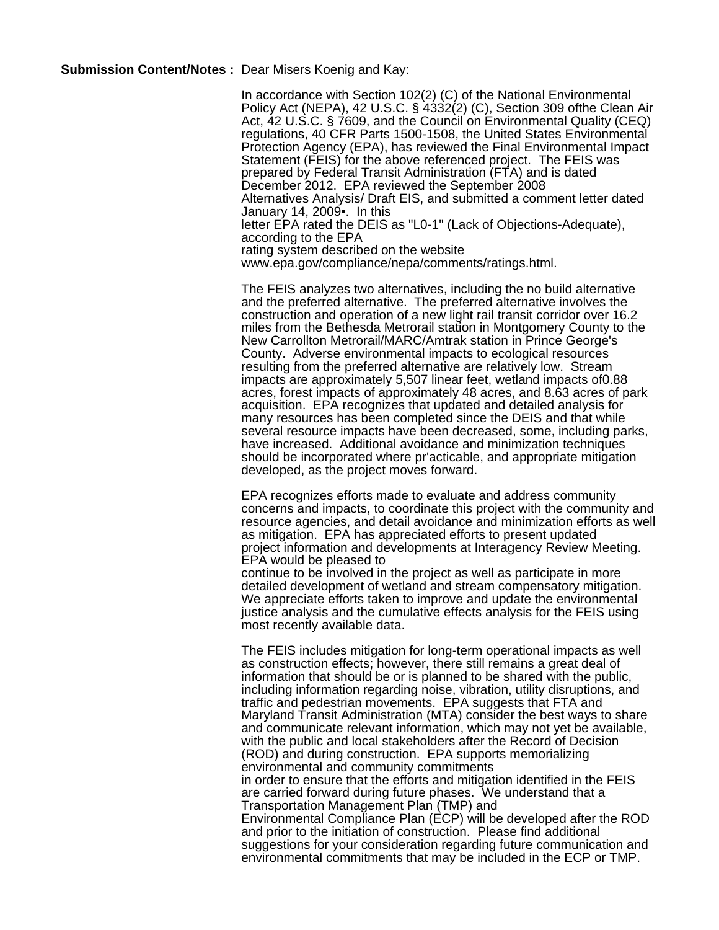**Submission Content/Notes :** Dear Misers Koenig and Kay:

In accordance with Section 102(2) (C) of the National Environmental Policy Act (NEPA), 42 U.S.C. § 4332(2) (C), Section 309 ofthe Clean Air Act, 42 U.S.C. § 7609, and the Council on Environmental Quality (CEQ) regulations, 40 CFR Parts 1500-1508, the United States Environmental Protection Agency (EPA), has reviewed the Final Environmental Impact Statement (FEIS) for the above referenced project. The FEIS was prepared by Federal Transit Administration (FTA) and is dated December 2012. EPA reviewed the September 2008 Alternatives Analysis/ Draft EIS, and submitted a comment letter dated January 14, 2009•. In this letter EPA rated the DEIS as "L0-1" (Lack of Objections-Adequate), according to the EPA rating system described on the website www.epa.gov/compliance/nepa/comments/ratings.html.

The FEIS analyzes two alternatives, including the no build alternative and the preferred alternative. The preferred alternative involves the construction and operation of a new light rail transit corridor over 16.2 miles from the Bethesda Metrorail station in Montgomery County to the New Carrollton Metrorail/MARC/Amtrak station in Prince George's County. Adverse environmental impacts to ecological resources resulting from the preferred alternative are relatively low. Stream impacts are approximately 5,507 linear feet, wetland impacts of0.88 acres, forest impacts of approximately 48 acres, and 8.63 acres of park acquisition. EPA recognizes that updated and detailed analysis for many resources has been completed since the DEIS and that while several resource impacts have been decreased, some, including parks, have increased. Additional avoidance and minimization techniques should be incorporated where pr'acticable, and appropriate mitigation developed, as the project moves forward.

EPA recognizes efforts made to evaluate and address community concerns and impacts, to coordinate this project with the community and resource agencies, and detail avoidance and minimization efforts as well as mitigation. EPA has appreciated efforts to present updated project information and developments at Interagency Review Meeting. EPA would be pleased to

continue to be involved in the project as well as participate in more detailed development of wetland and stream compensatory mitigation. We appreciate efforts taken to improve and update the environmental justice analysis and the cumulative effects analysis for the FEIS using most recently available data.

The FEIS includes mitigation for long-term operational impacts as well as construction effects; however, there still remains a great deal of information that should be or is planned to be shared with the public, including information regarding noise, vibration, utility disruptions, and traffic and pedestrian movements. EPA suggests that FTA and Maryland Transit Administration (MTA) consider the best ways to share and communicate relevant information, which may not yet be available, with the public and local stakeholders after the Record of Decision (ROD) and during construction. EPA supports memorializing environmental and community commitments in order to ensure that the efforts and mitigation identified in the FEIS are carried forward during future phases. We understand that a Transportation Management Plan (TMP) and Environmental Compliance Plan (ECP) will be developed after the ROD and prior to the initiation of construction. Please find additional suggestions for your consideration regarding future communication and environmental commitments that may be included in the ECP or TMP.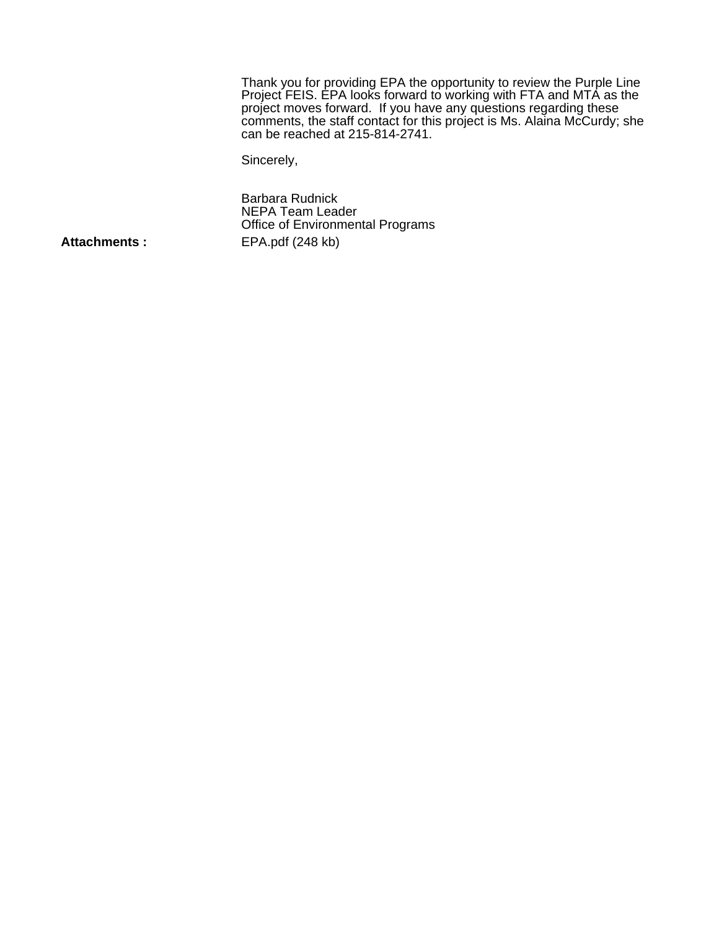Thank you for providing EPA the opportunity to review the Purple Line Project FEIS. EPA looks forward to working with FTA and MTA as the project moves forward. If you have any questions regarding these comments, the staff contact for this project is Ms. Alaina McCurdy; she can be reached at 215-814-2741.

Sincerely,

Barbara Rudnick NEPA Team Leader Office of Environmental Programs Attachments : EPA.pdf (248 kb)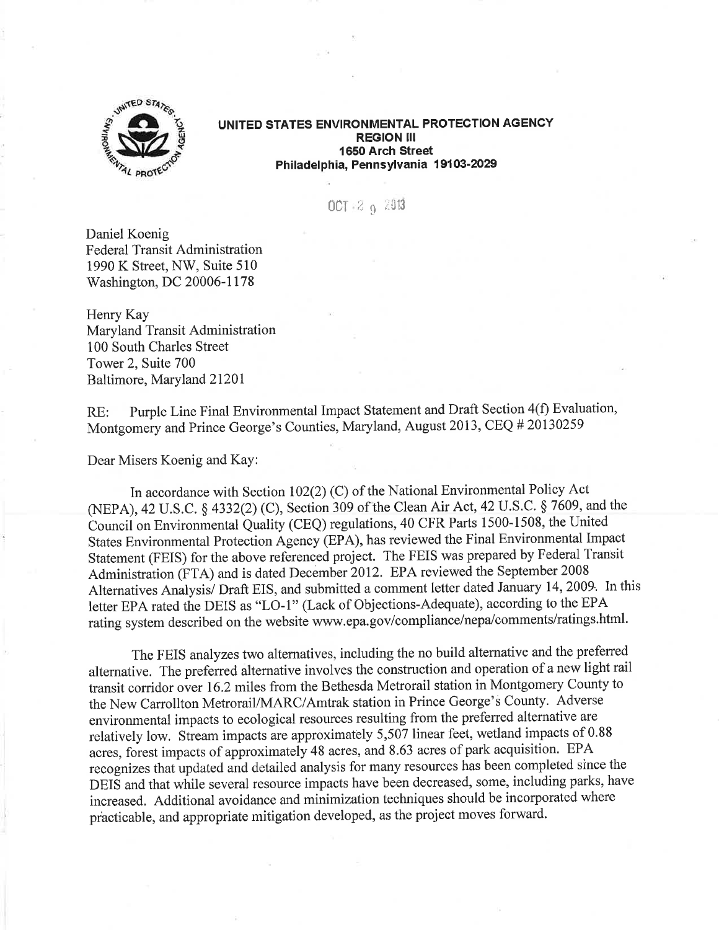

UNITED STATES ENVIRONMENTAL PROTECTION AGENCY **REGION III** 1650 Arch Street Philadelphia, Pennsylvania 19103-2029

 $OCT = 29 = 2913$ 

Daniel Koenig **Federal Transit Administration** 1990 K Street, NW, Suite 510 Washington, DC 20006-1178

Henry Kay Maryland Transit Administration 100 South Charles Street Tower 2, Suite 700 Baltimore, Maryland 21201

Purple Line Final Environmental Impact Statement and Draft Section 4(f) Evaluation,  $RE:$ Montgomery and Prince George's Counties, Maryland, August 2013, CEQ # 20130259

Dear Misers Koenig and Kay:

In accordance with Section 102(2) (C) of the National Environmental Policy Act (NEPA), 42 U.S.C. § 4332(2) (C), Section 309 of the Clean Air Act, 42 U.S.C. § 7609, and the Council on Environmental Quality (CEQ) regulations, 40 CFR Parts 1500-1508, the United States Environmental Protection Agency (EPA), has reviewed the Final Environmental Impact Statement (FEIS) for the above referenced project. The FEIS was prepared by Federal Transit Administration (FTA) and is dated December 2012. EPA reviewed the September 2008 Alternatives Analysis/ Draft EIS, and submitted a comment letter dated January 14, 2009. In this letter EPA rated the DEIS as "LO-1" (Lack of Objections-Adequate), according to the EPA rating system described on the website www.epa.gov/compliance/nepa/comments/ratings.html.

The FEIS analyzes two alternatives, including the no build alternative and the preferred alternative. The preferred alternative involves the construction and operation of a new light rail transit corridor over 16.2 miles from the Bethesda Metrorail station in Montgomery County to the New Carrollton Metrorail/MARC/Amtrak station in Prince George's County. Adverse environmental impacts to ecological resources resulting from the preferred alternative are relatively low. Stream impacts are approximately 5,507 linear feet, wetland impacts of 0.88 acres, forest impacts of approximately 48 acres, and 8.63 acres of park acquisition. EPA recognizes that updated and detailed analysis for many resources has been completed since the DEIS and that while several resource impacts have been decreased, some, including parks, have increased. Additional avoidance and minimization techniques should be incorporated where practicable, and appropriate mitigation developed, as the project moves forward.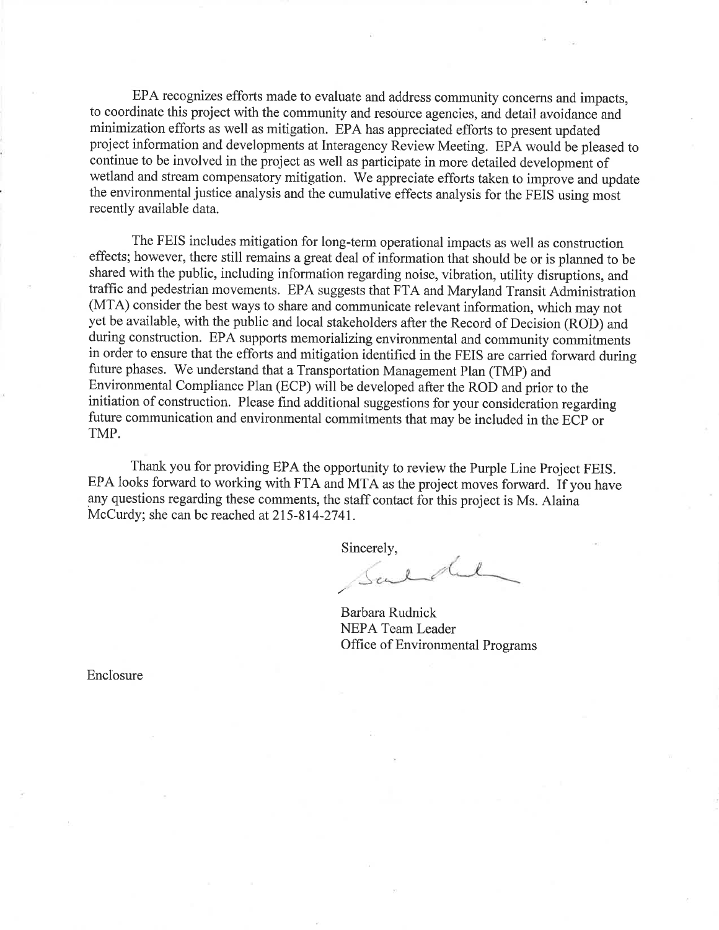EPA recognizes efforts made to evaluate and address community concerns and impacts, to coordinate this project with the community and resource agencies, and detail avoidance and minimization efforts as well as mitigation. EPA has appreciated efforts to present updated project information and developments at Interagency Review Meeting. EPA would be pleased to continue to be involved in the project as well as participate in more detailed development of wetland and stream compensatory mitigation. We appreciate efforts taken to improve and update the environmental justice analysis and the cumulative effects analysis for the FEIS using most recently available data.

The FEIS includes mitigation for long-term operational impacts as well as construction effects; however, there still remains a great deal of information that should be or is planned to be shared with the public, including information regarding noise, vibration, utility disruptions, and traffic and pedestrian movements. EPA suggests that FTA and Maryland Transit Administration (MTA) consider the best ways to share and communicate relevant information, which may not yet be available, with the public and local stakeholders after the Record of Decision (ROD) and during construction. EPA supports memorializing environmental and community commitments in order to ensure that the efforts and mitigation identified in the FEIS are carried forward during future phases. We understand that a Transportation Management Plan (TMP) and Environmental Compliance Plan (ECP) will be developed after the ROD and prior to the initiation of construction. Please find additional suggestions for your consideration regarding future communication and environmental commitments that may be included in the ECP or TMP.

Thank you for providing EPA the opportunity to review the Purple Line Project FEIS. EPA looks forward to working with FTA and MTA as the project moves forward. If you have any questions regarding these comments, the staff contact for this project is Ms. Alaina McCurdy; she can be reached at 215-814-2741.

Sincerely,

40  $\theta$  $\mu$ 

Barbara Rudnick NEPA Team Leader Office of Environmental Programs

Enclosure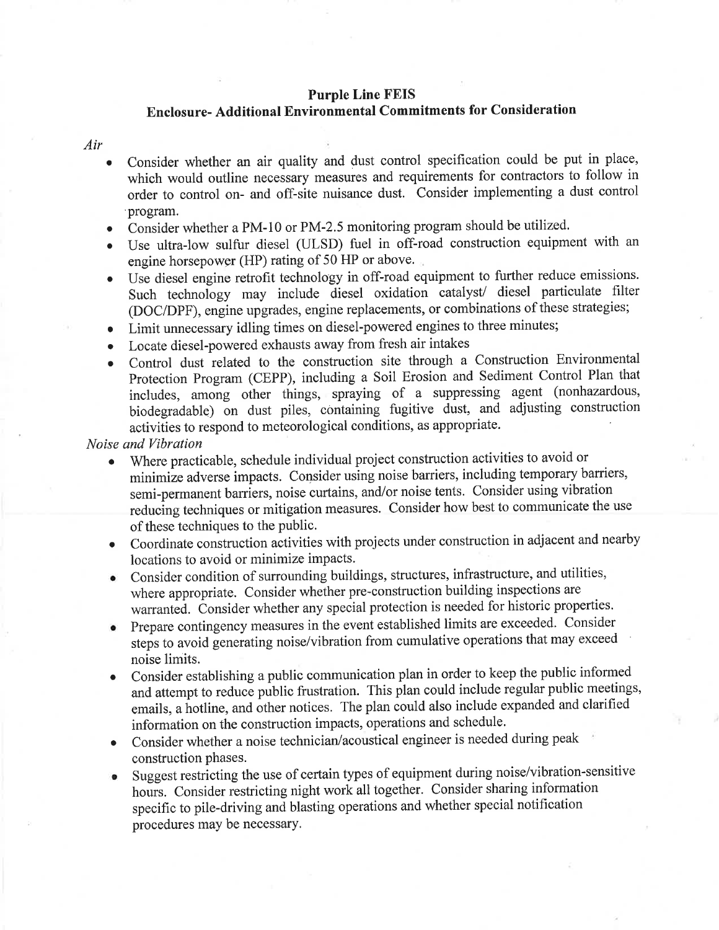#### **Purple Line FEIS**

### **Enclosure- Additional Environmental Commitments for Consideration**

Air

- Consider whether an air quality and dust control specification could be put in place, which would outline necessary measures and requirements for contractors to follow in order to control on- and off-site nuisance dust. Consider implementing a dust control program.
- Consider whether a PM-10 or PM-2.5 monitoring program should be utilized.
- · Use ultra-low sulfur diesel (ULSD) fuel in off-road construction equipment with an engine horsepower (HP) rating of 50 HP or above.
- Use diesel engine retrofit technology in off-road equipment to further reduce emissions. Such technology may include diesel oxidation catalyst/ diesel particulate filter (DOC/DPF), engine upgrades, engine replacements, or combinations of these strategies;
- Limit unnecessary idling times on diesel-powered engines to three minutes;
- Locate diesel-powered exhausts away from fresh air intakes  $\bullet$
- Control dust related to the construction site through a Construction Environmental Protection Program (CEPP), including a Soil Erosion and Sediment Control Plan that includes, among other things, spraying of a suppressing agent (nonhazardous, biodegradable) on dust piles, containing fugitive dust, and adjusting construction activities to respond to meteorological conditions, as appropriate.

Noise and Vibration

- Where practicable, schedule individual project construction activities to avoid or minimize adverse impacts. Consider using noise barriers, including temporary barriers, semi-permanent barriers, noise curtains, and/or noise tents. Consider using vibration reducing techniques or mitigation measures. Consider how best to communicate the use of these techniques to the public.
- Coordinate construction activities with projects under construction in adjacent and nearby locations to avoid or minimize impacts.
- Consider condition of surrounding buildings, structures, infrastructure, and utilities, where appropriate. Consider whether pre-construction building inspections are warranted. Consider whether any special protection is needed for historic properties.
- Prepare contingency measures in the event established limits are exceeded. Consider steps to avoid generating noise/vibration from cumulative operations that may exceed noise limits.
- Consider establishing a public communication plan in order to keep the public informed  $\bullet$ and attempt to reduce public frustration. This plan could include regular public meetings, emails, a hotline, and other notices. The plan could also include expanded and clarified information on the construction impacts, operations and schedule.
- Consider whether a noise technician/acoustical engineer is needed during peak  $\bullet$ construction phases.
- Suggest restricting the use of certain types of equipment during noise/vibration-sensitive  $\bullet$ hours. Consider restricting night work all together. Consider sharing information specific to pile-driving and blasting operations and whether special notification procedures may be necessary.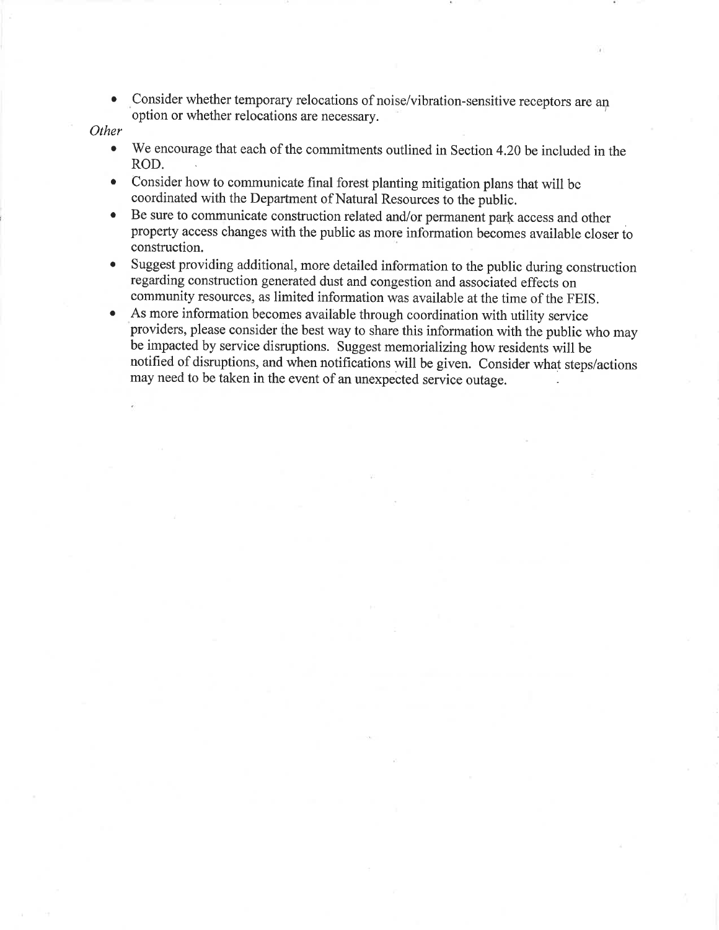Consider whether temporary relocations of noise/vibration-sensitive receptors are an  $\bullet$ option or whether relocations are necessary.

#### Other

- We encourage that each of the commitments outlined in Section 4.20 be included in the  $\bullet$ ROD.
- Consider how to communicate final forest planting mitigation plans that will be  $\bullet$ coordinated with the Department of Natural Resources to the public.
- Be sure to communicate construction related and/or permanent park access and other  $\bullet$ property access changes with the public as more information becomes available closer to construction.
- Suggest providing additional, more detailed information to the public during construction  $\bullet$ regarding construction generated dust and congestion and associated effects on community resources, as limited information was available at the time of the FEIS.
- As more information becomes available through coordination with utility service  $\bullet$ providers, please consider the best way to share this information with the public who may be impacted by service disruptions. Suggest memorializing how residents will be notified of disruptions, and when notifications will be given. Consider what steps/actions may need to be taken in the event of an unexpected service outage.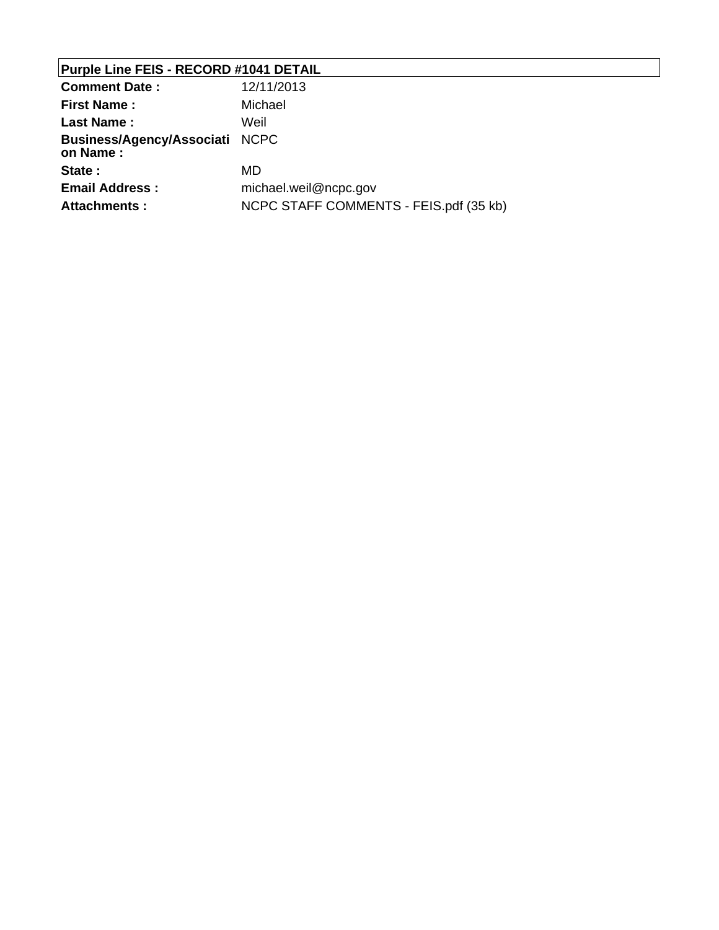# **Purple Line FEIS - RECORD #1041 DETAIL**

| <b>Comment Date:</b>                       | 12/11/2013                             |
|--------------------------------------------|----------------------------------------|
| <b>First Name:</b>                         | Michael                                |
| <b>Last Name:</b>                          | Weil                                   |
| Business/Agency/Associati NCPC<br>on Name: |                                        |
| State:                                     | MD                                     |
| <b>Email Address:</b>                      | michael.weil@ncpc.gov                  |
| Attachments :                              | NCPC STAFF COMMENTS - FEIS.pdf (35 kb) |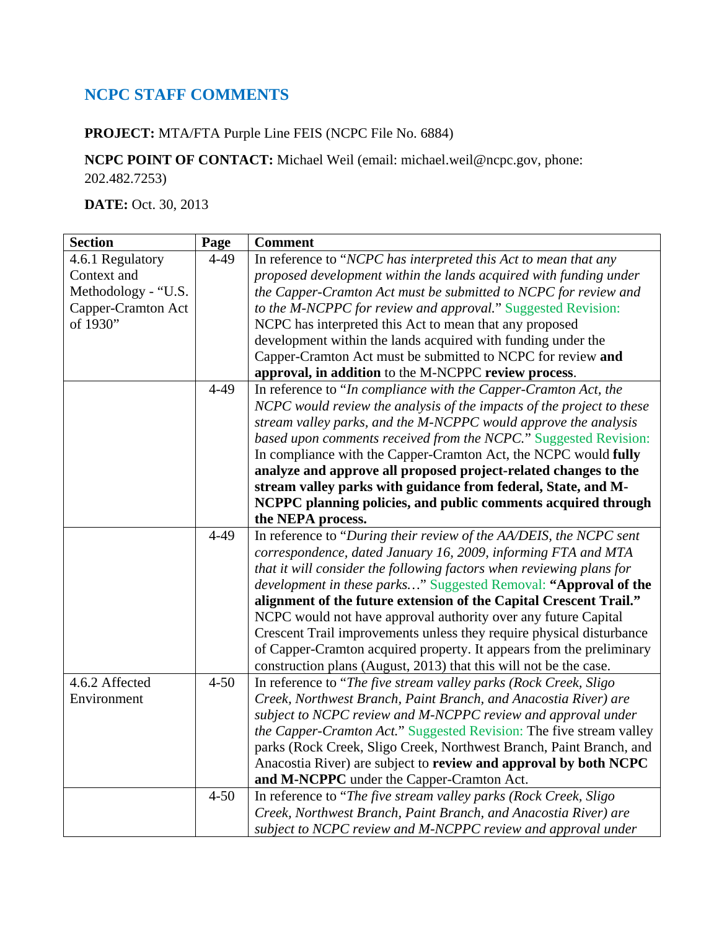## **NCPC STAFF COMMENTS**

**PROJECT:** MTA/FTA Purple Line FEIS (NCPC File No. 6884)

**NCPC POINT OF CONTACT:** Michael Weil (email: michael.weil@ncpc.gov, phone: 202.482.7253)

**DATE:** Oct. 30, 2013

| <b>Section</b>      | Page     | <b>Comment</b>                                                        |
|---------------------|----------|-----------------------------------------------------------------------|
| 4.6.1 Regulatory    | $4 - 49$ | In reference to "NCPC has interpreted this Act to mean that any       |
| Context and         |          | proposed development within the lands acquired with funding under     |
| Methodology - "U.S. |          | the Capper-Cramton Act must be submitted to NCPC for review and       |
| Capper-Cramton Act  |          | to the M-NCPPC for review and approval." Suggested Revision:          |
| of 1930"            |          | NCPC has interpreted this Act to mean that any proposed               |
|                     |          | development within the lands acquired with funding under the          |
|                     |          | Capper-Cramton Act must be submitted to NCPC for review and           |
|                     |          | approval, in addition to the M-NCPPC review process.                  |
|                     | $4 - 49$ | In reference to "In compliance with the Capper-Cramton Act, the       |
|                     |          | NCPC would review the analysis of the impacts of the project to these |
|                     |          | stream valley parks, and the M-NCPPC would approve the analysis       |
|                     |          | based upon comments received from the NCPC." Suggested Revision:      |
|                     |          | In compliance with the Capper-Cramton Act, the NCPC would fully       |
|                     |          | analyze and approve all proposed project-related changes to the       |
|                     |          | stream valley parks with guidance from federal, State, and M-         |
|                     |          | NCPPC planning policies, and public comments acquired through         |
|                     |          | the NEPA process.                                                     |
|                     | $4 - 49$ | In reference to "During their review of the AA/DEIS, the NCPC sent    |
|                     |          | correspondence, dated January 16, 2009, informing FTA and MTA         |
|                     |          | that it will consider the following factors when reviewing plans for  |
|                     |          | development in these parks" Suggested Removal: "Approval of the       |
|                     |          | alignment of the future extension of the Capital Crescent Trail."     |
|                     |          | NCPC would not have approval authority over any future Capital        |
|                     |          | Crescent Trail improvements unless they require physical disturbance  |
|                     |          | of Capper-Cramton acquired property. It appears from the preliminary  |
|                     |          | construction plans (August, 2013) that this will not be the case.     |
| 4.6.2 Affected      | $4 - 50$ | In reference to "The five stream valley parks (Rock Creek, Sligo      |
| Environment         |          | Creek, Northwest Branch, Paint Branch, and Anacostia River) are       |
|                     |          | subject to NCPC review and M-NCPPC review and approval under          |
|                     |          | the Capper-Cramton Act." Suggested Revision: The five stream valley   |
|                     |          | parks (Rock Creek, Sligo Creek, Northwest Branch, Paint Branch, and   |
|                     |          | Anacostia River) are subject to review and approval by both NCPC      |
|                     |          | and M-NCPPC under the Capper-Cramton Act.                             |
|                     | $4 - 50$ | In reference to "The five stream valley parks (Rock Creek, Sligo      |
|                     |          | Creek, Northwest Branch, Paint Branch, and Anacostia River) are       |
|                     |          | subject to NCPC review and M-NCPPC review and approval under          |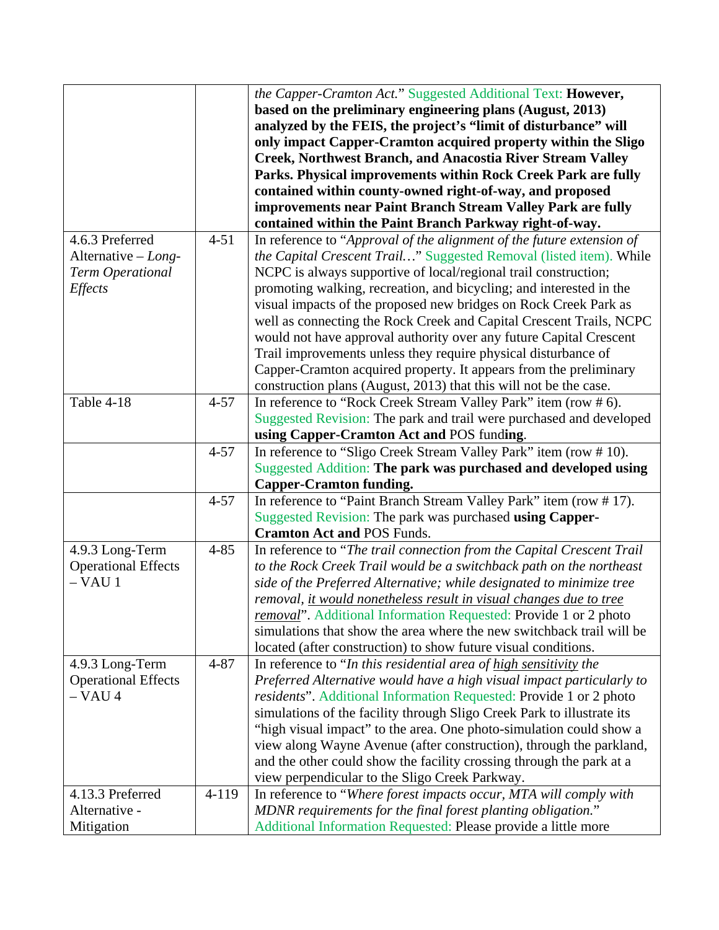|                                       |          | the Capper-Cramton Act." Suggested Additional Text: However,                                                                   |
|---------------------------------------|----------|--------------------------------------------------------------------------------------------------------------------------------|
|                                       |          | based on the preliminary engineering plans (August, 2013)                                                                      |
|                                       |          | analyzed by the FEIS, the project's "limit of disturbance" will                                                                |
|                                       |          | only impact Capper-Cramton acquired property within the Sligo                                                                  |
|                                       |          | Creek, Northwest Branch, and Anacostia River Stream Valley                                                                     |
|                                       |          | Parks. Physical improvements within Rock Creek Park are fully                                                                  |
|                                       |          | contained within county-owned right-of-way, and proposed                                                                       |
|                                       |          | improvements near Paint Branch Stream Valley Park are fully                                                                    |
|                                       |          | contained within the Paint Branch Parkway right-of-way.                                                                        |
| 4.6.3 Preferred                       | $4 - 51$ | In reference to "Approval of the alignment of the future extension of                                                          |
| Alternative $-Long-$                  |          | the Capital Crescent Trail" Suggested Removal (listed item). While                                                             |
| Term Operational                      |          | NCPC is always supportive of local/regional trail construction;                                                                |
| Effects                               |          | promoting walking, recreation, and bicycling; and interested in the                                                            |
|                                       |          | visual impacts of the proposed new bridges on Rock Creek Park as                                                               |
|                                       |          | well as connecting the Rock Creek and Capital Crescent Trails, NCPC                                                            |
|                                       |          |                                                                                                                                |
|                                       |          | would not have approval authority over any future Capital Crescent                                                             |
|                                       |          | Trail improvements unless they require physical disturbance of                                                                 |
|                                       |          | Capper-Cramton acquired property. It appears from the preliminary                                                              |
|                                       |          | construction plans (August, 2013) that this will not be the case.                                                              |
| Table 4-18                            | $4 - 57$ | In reference to "Rock Creek Stream Valley Park" item (row #6).                                                                 |
|                                       |          | Suggested Revision: The park and trail were purchased and developed                                                            |
|                                       |          | using Capper-Cramton Act and POS funding.                                                                                      |
|                                       | $4 - 57$ | In reference to "Sligo Creek Stream Valley Park" item (row #10).                                                               |
|                                       |          |                                                                                                                                |
|                                       |          | Suggested Addition: The park was purchased and developed using                                                                 |
|                                       |          | <b>Capper-Cramton funding.</b>                                                                                                 |
|                                       | $4 - 57$ | In reference to "Paint Branch Stream Valley Park" item (row #17).                                                              |
|                                       |          | Suggested Revision: The park was purchased using Capper-                                                                       |
|                                       |          | <b>Cramton Act and POS Funds.</b>                                                                                              |
| 4.9.3 Long-Term                       | $4 - 85$ | In reference to "The trail connection from the Capital Crescent Trail                                                          |
| <b>Operational Effects</b>            |          | to the Rock Creek Trail would be a switchback path on the northeast                                                            |
| $-$ VAU 1                             |          | side of the Preferred Alternative; while designated to minimize tree                                                           |
|                                       |          | removal, it would nonetheless result in visual changes due to tree                                                             |
|                                       |          | removal". Additional Information Requested: Provide 1 or 2 photo                                                               |
|                                       |          | simulations that show the area where the new switchback trail will be                                                          |
|                                       |          | located (after construction) to show future visual conditions.                                                                 |
|                                       | $4 - 87$ |                                                                                                                                |
| 4.9.3 Long-Term                       |          | In reference to "In this residential area of high sensitivity the                                                              |
| <b>Operational Effects</b><br>– VAU 4 |          | Preferred Alternative would have a high visual impact particularly to                                                          |
|                                       |          | residents". Additional Information Requested: Provide 1 or 2 photo                                                             |
|                                       |          | simulations of the facility through Sligo Creek Park to illustrate its                                                         |
|                                       |          | "high visual impact" to the area. One photo-simulation could show a                                                            |
|                                       |          | view along Wayne Avenue (after construction), through the parkland,                                                            |
|                                       |          | and the other could show the facility crossing through the park at a                                                           |
|                                       |          | view perpendicular to the Sligo Creek Parkway.                                                                                 |
| 4.13.3 Preferred                      | 4-119    | In reference to "Where forest impacts occur, MTA will comply with                                                              |
| Alternative -<br>Mitigation           |          | MDNR requirements for the final forest planting obligation."<br>Additional Information Requested: Please provide a little more |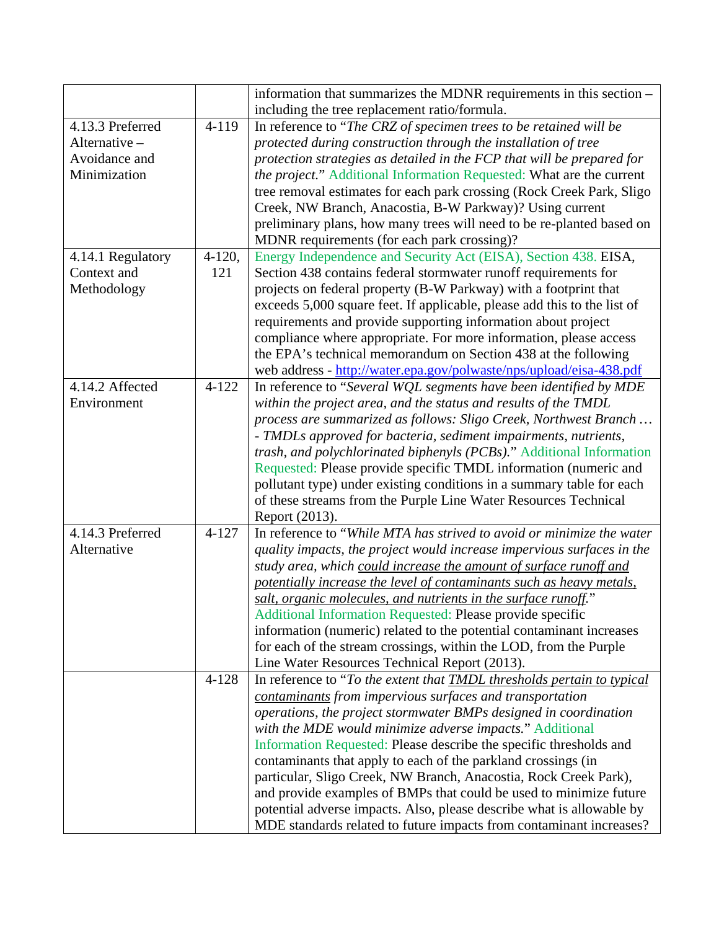|                   |            | information that summarizes the MDNR requirements in this section -           |
|-------------------|------------|-------------------------------------------------------------------------------|
|                   |            | including the tree replacement ratio/formula.                                 |
| 4.13.3 Preferred  | 4-119      | In reference to "The CRZ of specimen trees to be retained will be             |
| Alternative -     |            | protected during construction through the installation of tree                |
| Avoidance and     |            | protection strategies as detailed in the FCP that will be prepared for        |
| Minimization      |            | the project." Additional Information Requested: What are the current          |
|                   |            | tree removal estimates for each park crossing (Rock Creek Park, Sligo         |
|                   |            | Creek, NW Branch, Anacostia, B-W Parkway)? Using current                      |
|                   |            | preliminary plans, how many trees will need to be re-planted based on         |
|                   |            | MDNR requirements (for each park crossing)?                                   |
| 4.14.1 Regulatory | $4 - 120,$ | Energy Independence and Security Act (EISA), Section 438. EISA,               |
| Context and       | 121        | Section 438 contains federal stormwater runoff requirements for               |
| Methodology       |            | projects on federal property (B-W Parkway) with a footprint that              |
|                   |            | exceeds 5,000 square feet. If applicable, please add this to the list of      |
|                   |            | requirements and provide supporting information about project                 |
|                   |            | compliance where appropriate. For more information, please access             |
|                   |            | the EPA's technical memorandum on Section 438 at the following                |
|                   |            | web address - http://water.epa.gov/polwaste/nps/upload/eisa-438.pdf           |
| 4.14.2 Affected   | $4 - 122$  | In reference to "Several WQL segments have been identified by MDE             |
| Environment       |            | within the project area, and the status and results of the TMDL               |
|                   |            | process are summarized as follows: Sligo Creek, Northwest Branch              |
|                   |            | - TMDLs approved for bacteria, sediment impairments, nutrients,               |
|                   |            | trash, and polychlorinated biphenyls (PCBs)." Additional Information          |
|                   |            | Requested: Please provide specific TMDL information (numeric and              |
|                   |            | pollutant type) under existing conditions in a summary table for each         |
|                   |            | of these streams from the Purple Line Water Resources Technical               |
|                   |            | Report (2013).                                                                |
| 4.14.3 Preferred  | $4 - 127$  | In reference to "While MTA has strived to avoid or minimize the water         |
| Alternative       |            | quality impacts, the project would increase impervious surfaces in the        |
|                   |            | study area, which could increase the amount of surface runoff and             |
|                   |            | potentially increase the level of contaminants such as heavy metals,          |
|                   |            | salt, organic molecules, and nutrients in the surface runoff."                |
|                   |            | Additional Information Requested: Please provide specific                     |
|                   |            | information (numeric) related to the potential contaminant increases          |
|                   |            | for each of the stream crossings, within the LOD, from the Purple             |
|                   |            | Line Water Resources Technical Report (2013).                                 |
|                   | $4 - 128$  | In reference to "To the extent that <b>TMDL</b> thresholds pertain to typical |
|                   |            | contaminants from impervious surfaces and transportation                      |
|                   |            | operations, the project stormwater BMPs designed in coordination              |
|                   |            | with the MDE would minimize adverse impacts." Additional                      |
|                   |            | Information Requested: Please describe the specific thresholds and            |
|                   |            | contaminants that apply to each of the parkland crossings (in                 |
|                   |            | particular, Sligo Creek, NW Branch, Anacostia, Rock Creek Park),              |
|                   |            | and provide examples of BMPs that could be used to minimize future            |
|                   |            | potential adverse impacts. Also, please describe what is allowable by         |
|                   |            | MDE standards related to future impacts from contaminant increases?           |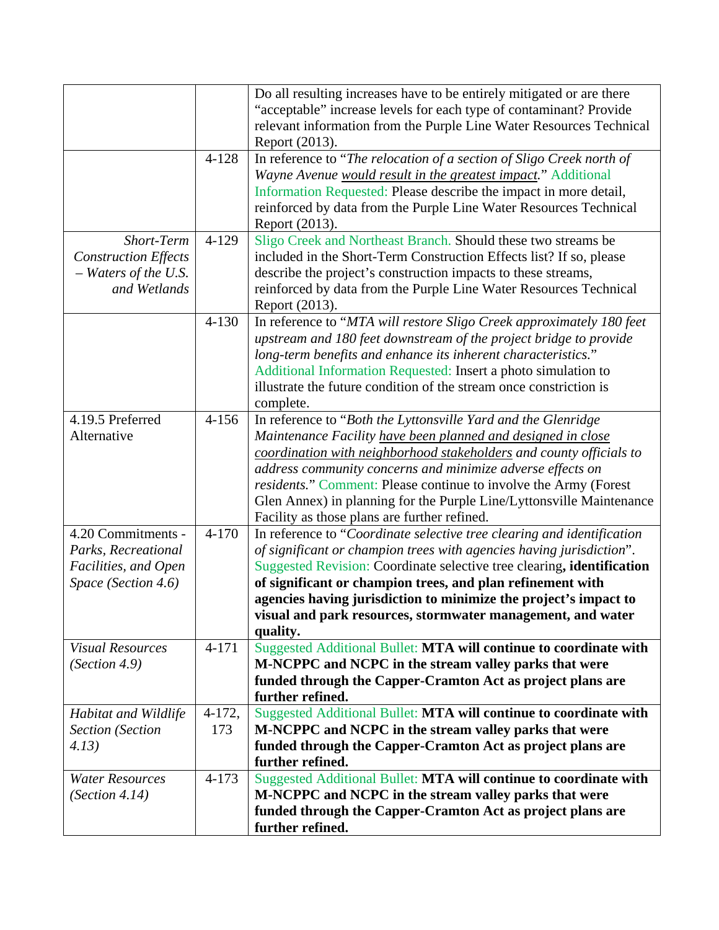|                             |           | Do all resulting increases have to be entirely mitigated or are there    |
|-----------------------------|-----------|--------------------------------------------------------------------------|
|                             |           | "acceptable" increase levels for each type of contaminant? Provide       |
|                             |           | relevant information from the Purple Line Water Resources Technical      |
|                             |           | Report (2013).                                                           |
|                             | $4 - 128$ | In reference to "The relocation of a section of Sligo Creek north of     |
|                             |           | Wayne Avenue would result in the greatest impact." Additional            |
|                             |           | Information Requested: Please describe the impact in more detail,        |
|                             |           | reinforced by data from the Purple Line Water Resources Technical        |
|                             |           | Report (2013).                                                           |
| Short-Term                  | $4 - 129$ | Sligo Creek and Northeast Branch. Should these two streams be            |
| <b>Construction Effects</b> |           | included in the Short-Term Construction Effects list? If so, please      |
| $-$ Waters of the U.S.      |           | describe the project's construction impacts to these streams,            |
| and Wetlands                |           | reinforced by data from the Purple Line Water Resources Technical        |
|                             |           | Report (2013).                                                           |
|                             | $4 - 130$ | In reference to "MTA will restore Sligo Creek approximately 180 feet     |
|                             |           | upstream and 180 feet downstream of the project bridge to provide        |
|                             |           | long-term benefits and enhance its inherent characteristics."            |
|                             |           | Additional Information Requested: Insert a photo simulation to           |
|                             |           | illustrate the future condition of the stream once constriction is       |
|                             |           | complete.                                                                |
| 4.19.5 Preferred            | $4 - 156$ | In reference to "Both the Lyttonsville Yard and the Glenridge            |
| Alternative                 |           | Maintenance Facility have been planned and designed in close             |
|                             |           | coordination with neighborhood stakeholders and county officials to      |
|                             |           | address community concerns and minimize adverse effects on               |
|                             |           | <i>residents.</i> " Comment: Please continue to involve the Army (Forest |
|                             |           | Glen Annex) in planning for the Purple Line/Lyttonsville Maintenance     |
|                             |           | Facility as those plans are further refined.                             |
| 4.20 Commitments -          | $4 - 170$ | In reference to "Coordinate selective tree clearing and identification   |
| Parks, Recreational         |           | of significant or champion trees with agencies having jurisdiction".     |
| Facilities, and Open        |           | Suggested Revision: Coordinate selective tree clearing, identification   |
| Space (Section 4.6)         |           | of significant or champion trees, and plan refinement with               |
|                             |           | agencies having jurisdiction to minimize the project's impact to         |
|                             |           | visual and park resources, stormwater management, and water              |
|                             |           | quality.                                                                 |
| <b>Visual Resources</b>     | $4 - 171$ | Suggested Additional Bullet: MTA will continue to coordinate with        |
| (Section 4.9)               |           | M-NCPPC and NCPC in the stream valley parks that were                    |
|                             |           | funded through the Capper-Cramton Act as project plans are               |
|                             |           | further refined.                                                         |
| Habitat and Wildlife        | $4-172,$  | Suggested Additional Bullet: MTA will continue to coordinate with        |
| <b>Section</b> (Section     | 173       | M-NCPPC and NCPC in the stream valley parks that were                    |
| 4.13)                       |           | funded through the Capper-Cramton Act as project plans are               |
|                             |           | further refined.                                                         |
| <b>Water Resources</b>      | $4 - 173$ | Suggested Additional Bullet: MTA will continue to coordinate with        |
| (Section 4.14)              |           | M-NCPPC and NCPC in the stream valley parks that were                    |
|                             |           | funded through the Capper-Cramton Act as project plans are               |
|                             |           | further refined.                                                         |
|                             |           |                                                                          |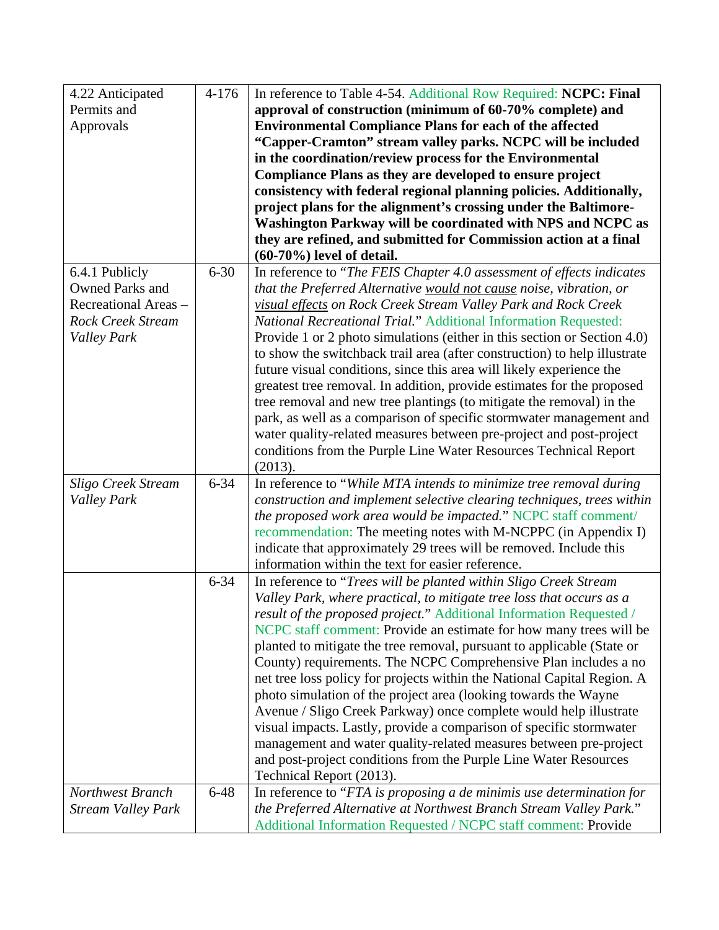| 4.22 Anticipated          | $4 - 176$ | In reference to Table 4-54. Additional Row Required: NCPC: Final                                                                     |
|---------------------------|-----------|--------------------------------------------------------------------------------------------------------------------------------------|
| Permits and               |           | approval of construction (minimum of 60-70% complete) and                                                                            |
| Approvals                 |           | <b>Environmental Compliance Plans for each of the affected</b>                                                                       |
|                           |           | "Capper-Cramton" stream valley parks. NCPC will be included                                                                          |
|                           |           | in the coordination/review process for the Environmental                                                                             |
|                           |           | Compliance Plans as they are developed to ensure project                                                                             |
|                           |           | consistency with federal regional planning policies. Additionally,                                                                   |
|                           |           | project plans for the alignment's crossing under the Baltimore-                                                                      |
|                           |           | Washington Parkway will be coordinated with NPS and NCPC as                                                                          |
|                           |           | they are refined, and submitted for Commission action at a final                                                                     |
|                           |           | $(60-70\%)$ level of detail.                                                                                                         |
| 6.4.1 Publicly            | $6 - 30$  | In reference to "The FEIS Chapter 4.0 assessment of effects indicates                                                                |
| <b>Owned Parks and</b>    |           | that the Preferred Alternative would not cause noise, vibration, or                                                                  |
| Recreational Areas -      |           | visual effects on Rock Creek Stream Valley Park and Rock Creek                                                                       |
| <b>Rock Creek Stream</b>  |           | <b>National Recreational Trial." Additional Information Requested:</b>                                                               |
| Valley Park               |           | Provide 1 or 2 photo simulations (either in this section or Section 4.0)                                                             |
|                           |           | to show the switchback trail area (after construction) to help illustrate                                                            |
|                           |           | future visual conditions, since this area will likely experience the                                                                 |
|                           |           | greatest tree removal. In addition, provide estimates for the proposed                                                               |
|                           |           | tree removal and new tree plantings (to mitigate the removal) in the                                                                 |
|                           |           | park, as well as a comparison of specific stormwater management and                                                                  |
|                           |           | water quality-related measures between pre-project and post-project                                                                  |
|                           |           | conditions from the Purple Line Water Resources Technical Report                                                                     |
|                           |           | (2013).                                                                                                                              |
| <b>Sligo Creek Stream</b> | $6 - 34$  | In reference to "While MTA intends to minimize tree removal during                                                                   |
| <b>Valley Park</b>        |           | construction and implement selective clearing techniques, trees within                                                               |
|                           |           | the proposed work area would be impacted." NCPC staff comment/                                                                       |
|                           |           | recommendation: The meeting notes with M-NCPPC (in Appendix I)<br>indicate that approximately 29 trees will be removed. Include this |
|                           |           | information within the text for easier reference.                                                                                    |
|                           | $6 - 34$  | In reference to "Trees will be planted within Sligo Creek Stream"                                                                    |
|                           |           | Valley Park, where practical, to mitigate tree loss that occurs as a                                                                 |
|                           |           | result of the proposed project." Additional Information Requested /                                                                  |
|                           |           | NCPC staff comment: Provide an estimate for how many trees will be                                                                   |
|                           |           | planted to mitigate the tree removal, pursuant to applicable (State or                                                               |
|                           |           | County) requirements. The NCPC Comprehensive Plan includes a no                                                                      |
|                           |           | net tree loss policy for projects within the National Capital Region. A                                                              |
|                           |           | photo simulation of the project area (looking towards the Wayne                                                                      |
|                           |           | Avenue / Sligo Creek Parkway) once complete would help illustrate                                                                    |
|                           |           | visual impacts. Lastly, provide a comparison of specific stormwater                                                                  |
|                           |           | management and water quality-related measures between pre-project                                                                    |
|                           |           | and post-project conditions from the Purple Line Water Resources                                                                     |
|                           |           | Technical Report (2013).                                                                                                             |
| Northwest Branch          | $6 - 48$  | In reference to "FTA is proposing a de minimis use determination for                                                                 |
| <b>Stream Valley Park</b> |           | the Preferred Alternative at Northwest Branch Stream Valley Park."                                                                   |
|                           |           | Additional Information Requested / NCPC staff comment: Provide                                                                       |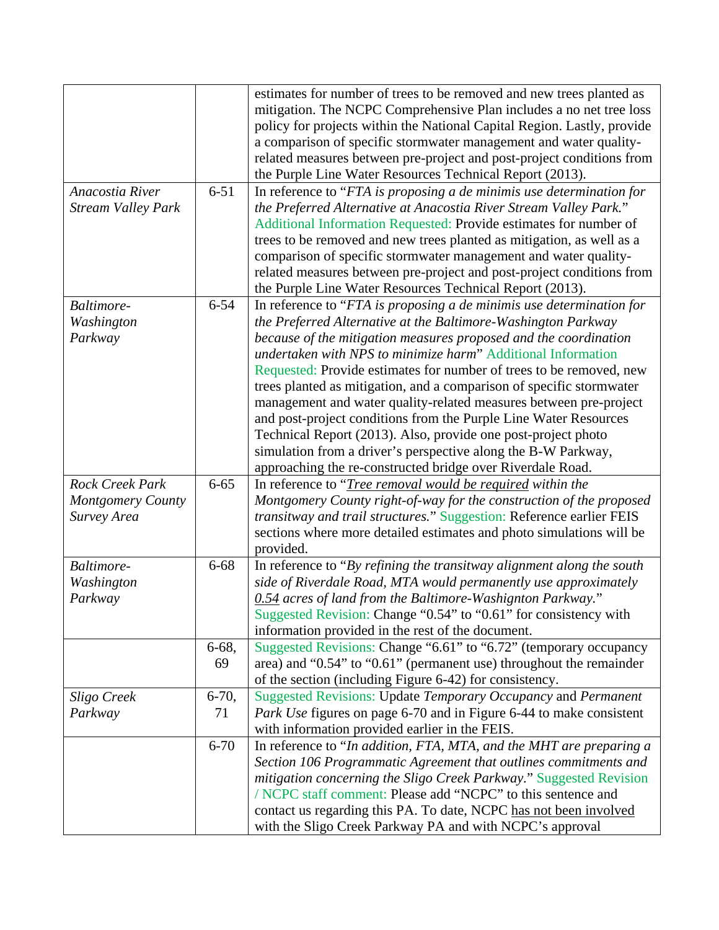|                                                                   |                 | estimates for number of trees to be removed and new trees planted as<br>mitigation. The NCPC Comprehensive Plan includes a no net tree loss<br>policy for projects within the National Capital Region. Lastly, provide                                                                                                                                                                                                                                                                                                                                                                                                                                                                                                                                            |
|-------------------------------------------------------------------|-----------------|-------------------------------------------------------------------------------------------------------------------------------------------------------------------------------------------------------------------------------------------------------------------------------------------------------------------------------------------------------------------------------------------------------------------------------------------------------------------------------------------------------------------------------------------------------------------------------------------------------------------------------------------------------------------------------------------------------------------------------------------------------------------|
|                                                                   |                 | a comparison of specific stormwater management and water quality-<br>related measures between pre-project and post-project conditions from<br>the Purple Line Water Resources Technical Report (2013).                                                                                                                                                                                                                                                                                                                                                                                                                                                                                                                                                            |
| Anacostia River<br><b>Stream Valley Park</b>                      | $6 - 51$        | In reference to "FTA is proposing a de minimis use determination for<br>the Preferred Alternative at Anacostia River Stream Valley Park."<br>Additional Information Requested: Provide estimates for number of<br>trees to be removed and new trees planted as mitigation, as well as a<br>comparison of specific stormwater management and water quality-<br>related measures between pre-project and post-project conditions from<br>the Purple Line Water Resources Technical Report (2013).                                                                                                                                                                                                                                                                   |
| Baltimore-<br>Washington<br>Parkway                               | $6 - 54$        | In reference to "FTA is proposing a de minimis use determination for<br>the Preferred Alternative at the Baltimore-Washington Parkway<br>because of the mitigation measures proposed and the coordination<br>undertaken with NPS to minimize harm" Additional Information<br>Requested: Provide estimates for number of trees to be removed, new<br>trees planted as mitigation, and a comparison of specific stormwater<br>management and water quality-related measures between pre-project<br>and post-project conditions from the Purple Line Water Resources<br>Technical Report (2013). Also, provide one post-project photo<br>simulation from a driver's perspective along the B-W Parkway,<br>approaching the re-constructed bridge over Riverdale Road. |
| <b>Rock Creek Park</b><br><b>Montgomery County</b><br>Survey Area | $6 - 65$        | In reference to " <i>Tree removal would be required within the</i><br>Montgomery County right-of-way for the construction of the proposed<br>transitway and trail structures." Suggestion: Reference earlier FEIS<br>sections where more detailed estimates and photo simulations will be<br>provided.                                                                                                                                                                                                                                                                                                                                                                                                                                                            |
| Baltimore-<br>Washington<br>Parkway                               | $6 - 68$        | In reference to "By refining the transitway alignment along the south<br>side of Riverdale Road, MTA would permanently use approximately<br>0.54 acres of land from the Baltimore-Washignton Parkway."<br>Suggested Revision: Change "0.54" to "0.61" for consistency with<br>information provided in the rest of the document.                                                                                                                                                                                                                                                                                                                                                                                                                                   |
|                                                                   | 6-68,<br>69     | Suggested Revisions: Change "6.61" to "6.72" (temporary occupancy<br>area) and "0.54" to "0.61" (permanent use) throughout the remainder<br>of the section (including Figure 6-42) for consistency.                                                                                                                                                                                                                                                                                                                                                                                                                                                                                                                                                               |
| Sligo Creek<br>Parkway                                            | $6 - 70,$<br>71 | Suggested Revisions: Update Temporary Occupancy and Permanent<br>Park Use figures on page 6-70 and in Figure 6-44 to make consistent<br>with information provided earlier in the FEIS.                                                                                                                                                                                                                                                                                                                                                                                                                                                                                                                                                                            |
|                                                                   | $6 - 70$        | In reference to "In addition, FTA, MTA, and the MHT are preparing a<br>Section 106 Programmatic Agreement that outlines commitments and<br>mitigation concerning the Sligo Creek Parkway." Suggested Revision<br>/ NCPC staff comment: Please add "NCPC" to this sentence and<br>contact us regarding this PA. To date, NCPC has not been involved<br>with the Sligo Creek Parkway PA and with NCPC's approval                                                                                                                                                                                                                                                                                                                                                    |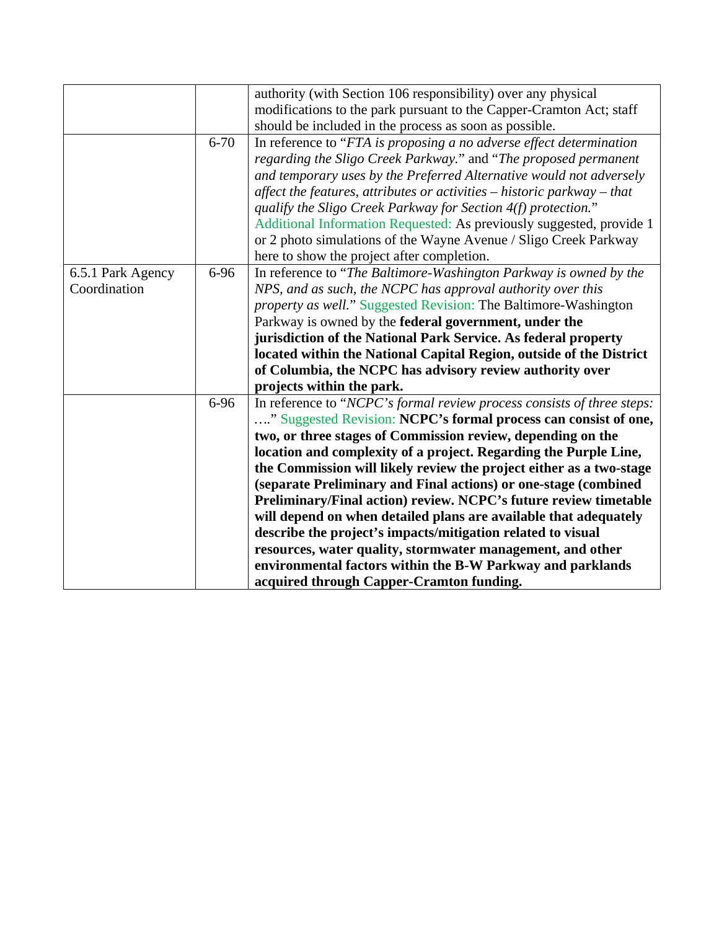|                   |          | authority (with Section 106 responsibility) over any physical<br>modifications to the park pursuant to the Capper-Cramton Act; staff     |
|-------------------|----------|------------------------------------------------------------------------------------------------------------------------------------------|
|                   |          | should be included in the process as soon as possible.                                                                                   |
|                   | $6 - 70$ | In reference to "FTA is proposing a no adverse effect determination                                                                      |
|                   |          | regarding the Sligo Creek Parkway." and "The proposed permanent"<br>and temporary uses by the Preferred Alternative would not adversely  |
|                   |          | affect the features, attributes or activities - historic parkway - that                                                                  |
|                   |          | qualify the Sligo Creek Parkway for Section 4(f) protection."                                                                            |
|                   |          | Additional Information Requested: As previously suggested, provide 1<br>or 2 photo simulations of the Wayne Avenue / Sligo Creek Parkway |
|                   |          | here to show the project after completion.                                                                                               |
| 6.5.1 Park Agency | 6-96     | In reference to "The Baltimore-Washington Parkway is owned by the                                                                        |
| Coordination      |          | NPS, and as such, the NCPC has approval authority over this                                                                              |
|                   |          | <i>property as well.</i> " Suggested Revision: The Baltimore-Washington                                                                  |
|                   |          | Parkway is owned by the federal government, under the                                                                                    |
|                   |          | jurisdiction of the National Park Service. As federal property                                                                           |
|                   |          | located within the National Capital Region, outside of the District                                                                      |
|                   |          | of Columbia, the NCPC has advisory review authority over                                                                                 |
|                   |          | projects within the park.                                                                                                                |
|                   | 6-96     | In reference to "NCPC's formal review process consists of three steps:                                                                   |
|                   |          | " Suggested Revision: NCPC's formal process can consist of one,                                                                          |
|                   |          | two, or three stages of Commission review, depending on the                                                                              |
|                   |          | location and complexity of a project. Regarding the Purple Line,                                                                         |
|                   |          | the Commission will likely review the project either as a two-stage                                                                      |
|                   |          | (separate Preliminary and Final actions) or one-stage (combined                                                                          |
|                   |          | Preliminary/Final action) review. NCPC's future review timetable                                                                         |
|                   |          | will depend on when detailed plans are available that adequately                                                                         |
|                   |          | describe the project's impacts/mitigation related to visual                                                                              |
|                   |          | resources, water quality, stormwater management, and other                                                                               |
|                   |          | environmental factors within the B-W Parkway and parklands                                                                               |
|                   |          | acquired through Capper-Cramton funding.                                                                                                 |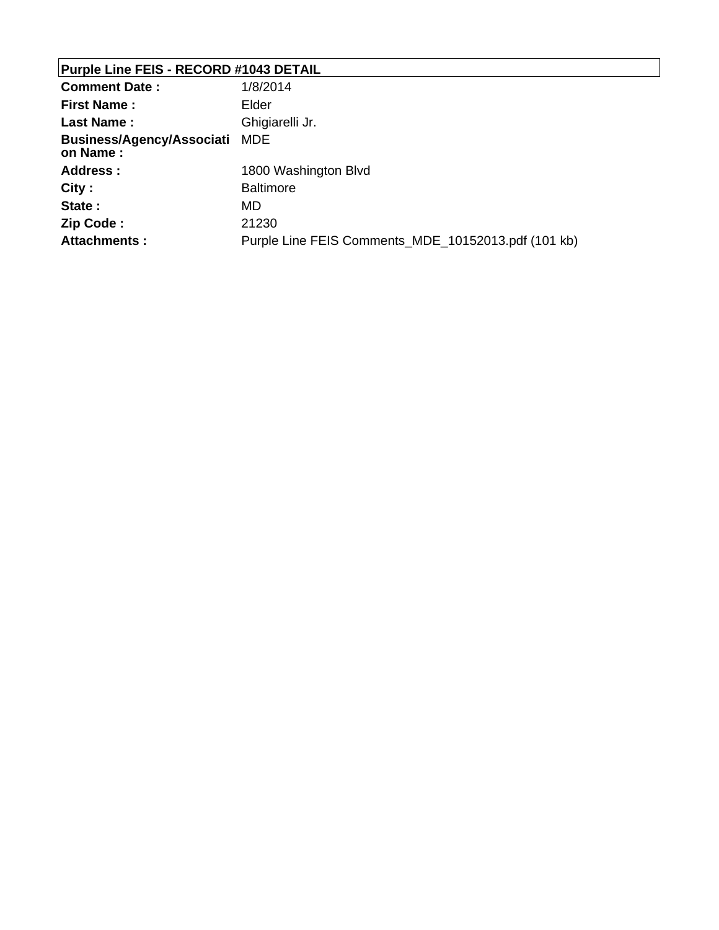# **Purple Line FEIS - RECORD #1043 DETAIL**

| <b>Comment Date:</b>                      | 1/8/2014                                            |
|-------------------------------------------|-----------------------------------------------------|
| <b>First Name:</b>                        | Elder                                               |
| Last Name:                                | Ghigiarelli Jr.                                     |
| Business/Agency/Associati MDE<br>on Name: |                                                     |
| Address:                                  | 1800 Washington Blvd                                |
| City:                                     | <b>Baltimore</b>                                    |
| State:                                    | MD.                                                 |
| Zip Code:                                 | 21230                                               |
| <b>Attachments:</b>                       | Purple Line FEIS Comments_MDE_10152013.pdf (101 kb) |